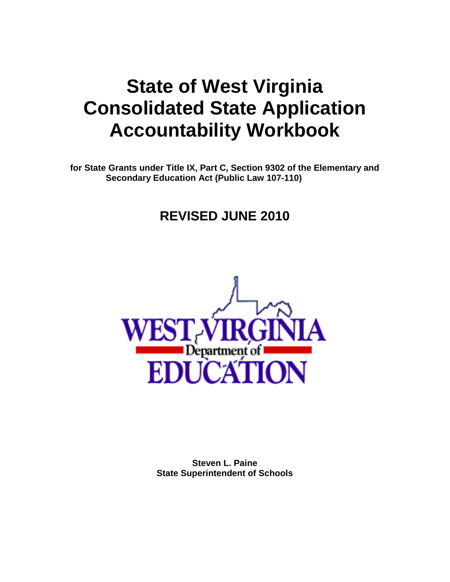# **State of West Virginia Consolidated State Application Accountability Workbook**

**for State Grants under Title IX, Part C, Section 9302 of the Elementary and Secondary Education Act (Public Law 107-110)**

# **REVISED JUNE 2010**



**Steven L. Paine State Superintendent of Schools**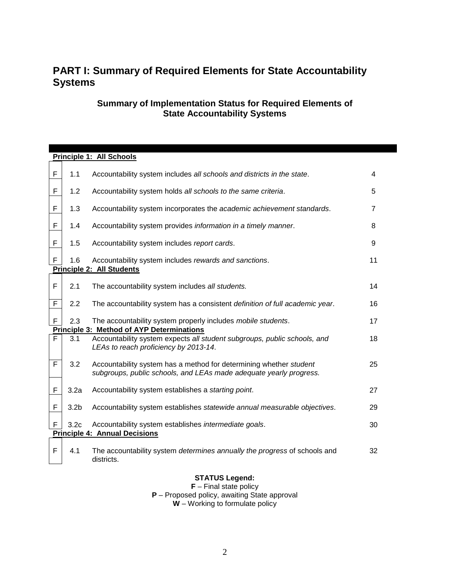# **PART I: Summary of Required Elements for State Accountability Systems**

## **Summary of Implementation Status for Required Elements of State Accountability Systems**

|   |                  | Principle 1: All Schools                                                                                                                 |    |
|---|------------------|------------------------------------------------------------------------------------------------------------------------------------------|----|
| F | 1.1              | Accountability system includes all schools and districts in the state.                                                                   | 4  |
| F | 1.2              | Accountability system holds all schools to the same criteria.                                                                            | 5  |
| F | 1.3              | Accountability system incorporates the academic achievement standards.                                                                   | 7  |
| F | 1.4              | Accountability system provides information in a timely manner.                                                                           | 8  |
| F | 1.5              | Accountability system includes report cards.                                                                                             | 9  |
| F | 1.6              | Accountability system includes rewards and sanctions.<br><b>Principle 2: All Students</b>                                                | 11 |
|   |                  |                                                                                                                                          |    |
| F | 2.1              | The accountability system includes all students.                                                                                         | 14 |
| F | 2.2              | The accountability system has a consistent definition of full academic year.                                                             | 16 |
| F | 2.3              | The accountability system properly includes mobile students.                                                                             | 17 |
|   |                  | <b>Principle 3: Method of AYP Determinations</b>                                                                                         |    |
| F | 3.1              | Accountability system expects all student subgroups, public schools, and<br>LEAs to reach proficiency by 2013-14.                        | 18 |
| F | 3.2              | Accountability system has a method for determining whether student<br>subgroups, public schools, and LEAs made adequate yearly progress. | 25 |
| F | 3.2a             | Accountability system establishes a starting point.                                                                                      | 27 |
| F | 3.2 <sub>b</sub> | Accountability system establishes statewide annual measurable objectives.                                                                | 29 |
| F | 3.2 <sub>c</sub> | Accountability system establishes intermediate goals.<br><b>Principle 4: Annual Decisions</b>                                            | 30 |
|   |                  |                                                                                                                                          |    |
| F | 4.1              | The accountability system determines annually the progress of schools and<br>districts.                                                  | 32 |

#### **STATUS Legend:**

**F** – Final state policy **P** – Proposed policy, awaiting State approval **W** – Working to formulate policy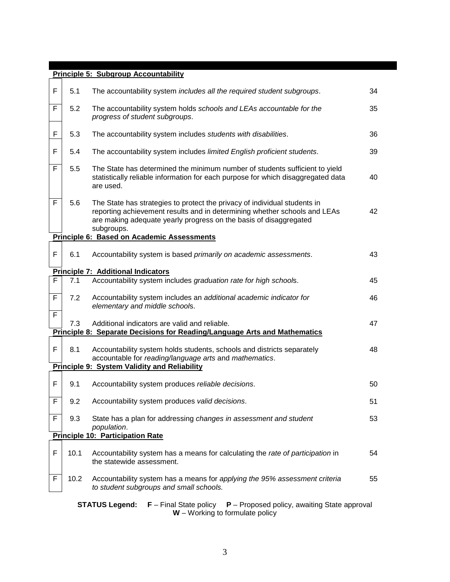|                                         | <b>Principle 5: Subgroup Accountability</b>                                                                                           |                                                                                                                                                                                                                                           |    |  |  |  |  |
|-----------------------------------------|---------------------------------------------------------------------------------------------------------------------------------------|-------------------------------------------------------------------------------------------------------------------------------------------------------------------------------------------------------------------------------------------|----|--|--|--|--|
| F                                       | 5.1                                                                                                                                   | The accountability system includes all the required student subgroups.                                                                                                                                                                    | 34 |  |  |  |  |
| F                                       | 5.2                                                                                                                                   | The accountability system holds schools and LEAs accountable for the<br>progress of student subgroups.                                                                                                                                    | 35 |  |  |  |  |
| F                                       | 5.3                                                                                                                                   | The accountability system includes students with disabilities.                                                                                                                                                                            | 36 |  |  |  |  |
| F                                       | 5.4                                                                                                                                   | The accountability system includes limited English proficient students.                                                                                                                                                                   | 39 |  |  |  |  |
| F                                       | 5.5                                                                                                                                   | The State has determined the minimum number of students sufficient to yield<br>statistically reliable information for each purpose for which disaggregated data<br>are used.                                                              | 40 |  |  |  |  |
| $\mathsf F$                             | 5.6                                                                                                                                   | The State has strategies to protect the privacy of individual students in<br>reporting achievement results and in determining whether schools and LEAs<br>are making adequate yearly progress on the basis of disaggregated<br>subgroups. | 42 |  |  |  |  |
|                                         |                                                                                                                                       | Principle 6: Based on Academic Assessments                                                                                                                                                                                                |    |  |  |  |  |
| F                                       | 6.1                                                                                                                                   | Accountability system is based primarily on academic assessments.                                                                                                                                                                         | 43 |  |  |  |  |
|                                         |                                                                                                                                       | <b>Principle 7: Additional Indicators</b>                                                                                                                                                                                                 |    |  |  |  |  |
| F                                       | 7.1                                                                                                                                   | Accountability system includes graduation rate for high schools.                                                                                                                                                                          | 45 |  |  |  |  |
| $\mathsf F$                             | 7.2                                                                                                                                   | Accountability system includes an additional academic indicator for<br>elementary and middle schools.                                                                                                                                     | 46 |  |  |  |  |
| F                                       | 7.3                                                                                                                                   | Additional indicators are valid and reliable.                                                                                                                                                                                             | 47 |  |  |  |  |
|                                         |                                                                                                                                       | <b>Principle 8: Separate Decisions for Reading/Language Arts and Mathematics</b>                                                                                                                                                          |    |  |  |  |  |
| F                                       | 8.1                                                                                                                                   | Accountability system holds students, schools and districts separately<br>accountable for reading/language arts and mathematics.                                                                                                          | 48 |  |  |  |  |
|                                         |                                                                                                                                       | <b>Principle 9: System Validity and Reliability</b>                                                                                                                                                                                       |    |  |  |  |  |
| F                                       | 9.1                                                                                                                                   | Accountability system produces reliable decisions.                                                                                                                                                                                        | 50 |  |  |  |  |
| F                                       | 9.2                                                                                                                                   | Accountability system produces valid decisions.                                                                                                                                                                                           | 51 |  |  |  |  |
| F                                       | 9.3                                                                                                                                   | State has a plan for addressing changes in assessment and student<br>population.                                                                                                                                                          | 53 |  |  |  |  |
| <b>Principle 10: Participation Rate</b> |                                                                                                                                       |                                                                                                                                                                                                                                           |    |  |  |  |  |
| F                                       | 10.1                                                                                                                                  | Accountability system has a means for calculating the rate of participation in<br>the statewide assessment.                                                                                                                               | 54 |  |  |  |  |
| F                                       | 10.2                                                                                                                                  | Accountability system has a means for applying the 95% assessment criteria<br>to student subgroups and small schools.                                                                                                                     | 55 |  |  |  |  |
|                                         | <b>STATUS Legend:</b><br>$F$ – Final State policy $P$ – Proposed policy, awaiting State approval<br>$W$ – Working to formulate policy |                                                                                                                                                                                                                                           |    |  |  |  |  |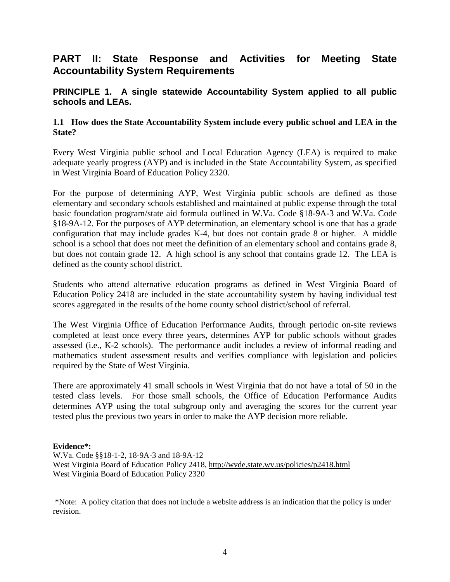# **PART II: State Response and Activities for Meeting State Accountability System Requirements**

#### **PRINCIPLE 1. A single statewide Accountability System applied to all public schools and LEAs.**

#### **1.1 How does the State Accountability System include every public school and LEA in the State?**

Every West Virginia public school and Local Education Agency (LEA) is required to make adequate yearly progress (AYP) and is included in the State Accountability System, as specified in West Virginia Board of Education Policy 2320.

For the purpose of determining AYP, West Virginia public schools are defined as those elementary and secondary schools established and maintained at public expense through the total basic foundation program/state aid formula outlined in W.Va. Code §18-9A-3 and W.Va. Code §18-9A-12. For the purposes of AYP determination, an elementary school is one that has a grade configuration that may include grades K-4, but does not contain grade 8 or higher. A middle school is a school that does not meet the definition of an elementary school and contains grade 8, but does not contain grade 12. A high school is any school that contains grade 12. The LEA is defined as the county school district.

Students who attend alternative education programs as defined in West Virginia Board of Education Policy 2418 are included in the state accountability system by having individual test scores aggregated in the results of the home county school district/school of referral.

The West Virginia Office of Education Performance Audits, through periodic on-site reviews completed at least once every three years, determines AYP for public schools without grades assessed (i.e., K-2 schools). The performance audit includes a review of informal reading and mathematics student assessment results and verifies compliance with legislation and policies required by the State of West Virginia.

There are approximately 41 small schools in West Virginia that do not have a total of 50 in the tested class levels. For those small schools, the Office of Education Performance Audits determines AYP using the total subgroup only and averaging the scores for the current year tested plus the previous two years in order to make the AYP decision more reliable.

#### **Evidence\*:**

W.Va. Code §§18-1-2, 18-9A-3 and 18-9A-12 West Virginia Board of Education Policy 2418,<http://wvde.state.wv.us/policies/p2418.html> West Virginia Board of Education Policy 2320

\*Note: A policy citation that does not include a website address is an indication that the policy is under revision.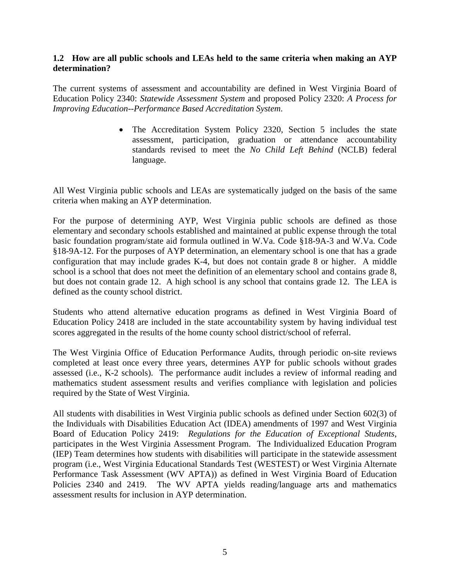#### **1.2 How are all public schools and LEAs held to the same criteria when making an AYP determination?**

The current systems of assessment and accountability are defined in West Virginia Board of Education Policy 2340: *Statewide Assessment System* and proposed Policy 2320: *A Process for Improving Education--Performance Based Accreditation System*.

> • The Accreditation System Policy 2320, Section 5 includes the state assessment, participation, graduation or attendance accountability standards revised to meet the *No Child Left Behind* (NCLB) federal language.

All West Virginia public schools and LEAs are systematically judged on the basis of the same criteria when making an AYP determination.

For the purpose of determining AYP, West Virginia public schools are defined as those elementary and secondary schools established and maintained at public expense through the total basic foundation program/state aid formula outlined in W.Va. Code §18-9A-3 and W.Va. Code §18-9A-12. For the purposes of AYP determination, an elementary school is one that has a grade configuration that may include grades K-4, but does not contain grade 8 or higher. A middle school is a school that does not meet the definition of an elementary school and contains grade 8, but does not contain grade 12. A high school is any school that contains grade 12. The LEA is defined as the county school district.

Students who attend alternative education programs as defined in West Virginia Board of Education Policy 2418 are included in the state accountability system by having individual test scores aggregated in the results of the home county school district/school of referral.

The West Virginia Office of Education Performance Audits, through periodic on-site reviews completed at least once every three years, determines AYP for public schools without grades assessed (i.e., K-2 schools). The performance audit includes a review of informal reading and mathematics student assessment results and verifies compliance with legislation and policies required by the State of West Virginia.

All students with disabilities in West Virginia public schools as defined under Section 602(3) of the Individuals with Disabilities Education Act (IDEA) amendments of 1997 and West Virginia Board of Education Policy 2419: *Regulations for the Education of Exceptional Students*, participates in the West Virginia Assessment Program. The Individualized Education Program (IEP) Team determines how students with disabilities will participate in the statewide assessment program (i.e., West Virginia Educational Standards Test (WESTEST) or West Virginia Alternate Performance Task Assessment (WV APTA)) as defined in West Virginia Board of Education Policies 2340 and 2419. The WV APTA yields reading/language arts and mathematics assessment results for inclusion in AYP determination.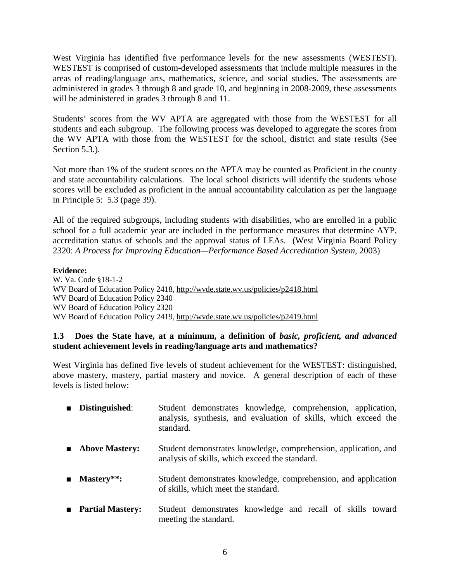West Virginia has identified five performance levels for the new assessments (WESTEST). WESTEST is comprised of custom-developed assessments that include multiple measures in the areas of reading/language arts, mathematics, science, and social studies. The assessments are administered in grades 3 through 8 and grade 10, and beginning in 2008-2009, these assessments will be administered in grades 3 through 8 and 11.

Students' scores from the WV APTA are aggregated with those from the WESTEST for all students and each subgroup. The following process was developed to aggregate the scores from the WV APTA with those from the WESTEST for the school, district and state results (See Section 5.3.).

Not more than 1% of the student scores on the APTA may be counted as Proficient in the county and state accountability calculations. The local school districts will identify the students whose scores will be excluded as proficient in the annual accountability calculation as per the language in Principle 5: 5.3 (page 39).

All of the required subgroups, including students with disabilities, who are enrolled in a public school for a full academic year are included in the performance measures that determine AYP, accreditation status of schools and the approval status of LEAs. (West Virginia Board Policy 2320: *A Process for Improving Education—Performance Based Accreditation System*, 2003)

#### **Evidence:**

W. Va. Code §18-1-2 WV Board of Education Policy 2418,<http://wvde.state.wv.us/policies/p2418.html> WV Board of Education Policy 2340 WV Board of Education Policy 2320 WV Board of Education Policy 2419, [http://wvde.state.wv.us/policies/p2419.html](http://wvde.state.wv.us/policies/p2320.html)

#### **1.3 Does the State have, at a minimum, a definition of** *basic, proficient, and advanced*  **student achievement levels in reading/language arts and mathematics?**

West Virginia has defined five levels of student achievement for the WESTEST: distinguished, above mastery, mastery, partial mastery and novice. A general description of each of these levels is listed below:

- **■ Distinguished**: Student demonstrates knowledge, comprehension, application, analysis, synthesis, and evaluation of skills, which exceed the standard.
- **Above Mastery:** Student demonstrates knowledge, comprehension, application, and analysis of skills, which exceed the standard.
- **Mastery\*\*:** Student demonstrates knowledge, comprehension, and application of skills, which meet the standard.
- **■ Partial Mastery:** Student demonstrates knowledge and recall of skills toward meeting the standard.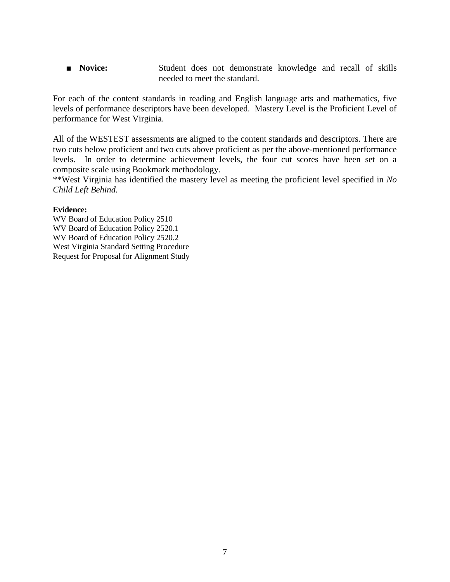■ **Novice:** Student does not demonstrate knowledge and recall of skills needed to meet the standard.

For each of the content standards in reading and English language arts and mathematics, five levels of performance descriptors have been developed. Mastery Level is the Proficient Level of performance for West Virginia.

All of the WESTEST assessments are aligned to the content standards and descriptors. There are two cuts below proficient and two cuts above proficient as per the above-mentioned performance levels. In order to determine achievement levels, the four cut scores have been set on a composite scale using Bookmark methodology.

\*\*West Virginia has identified the mastery level as meeting the proficient level specified in *No Child Left Behind.*

#### **Evidence:**

WV Board of Education Policy 2510 WV Board of Education Policy 2520.1 WV Board of Education Policy 2520.2 West Virginia Standard Setting Procedure Request for Proposal for Alignment Study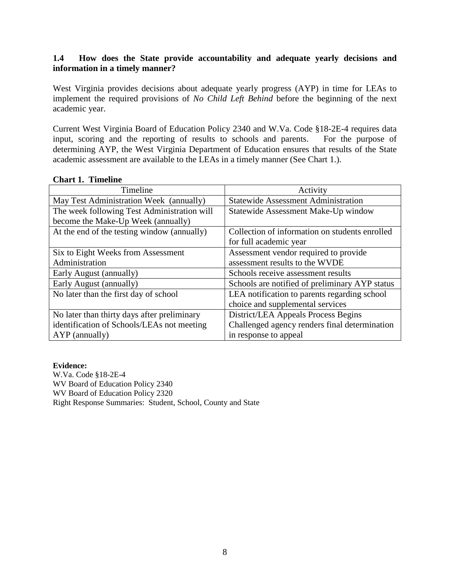#### **1.4 How does the State provide accountability and adequate yearly decisions and information in a timely manner?**

West Virginia provides decisions about adequate yearly progress (AYP) in time for LEAs to implement the required provisions of *No Child Left Behind* before the beginning of the next academic year.

Current West Virginia Board of Education Policy 2340 and W.Va. Code §18-2E-4 requires data input, scoring and the reporting of results to schools and parents. For the purpose of determining AYP, the West Virginia Department of Education ensures that results of the State academic assessment are available to the LEAs in a timely manner (See Chart 1.).

| Timeline                                    | Activity                                       |
|---------------------------------------------|------------------------------------------------|
| May Test Administration Week (annually)     | <b>Statewide Assessment Administration</b>     |
| The week following Test Administration will | Statewide Assessment Make-Up window            |
| become the Make-Up Week (annually)          |                                                |
| At the end of the testing window (annually) | Collection of information on students enrolled |
|                                             | for full academic year                         |
| Six to Eight Weeks from Assessment          | Assessment vendor required to provide          |
| Administration                              | assessment results to the WVDE                 |
| Early August (annually)                     | Schools receive assessment results             |
| Early August (annually)                     | Schools are notified of preliminary AYP status |
| No later than the first day of school       | LEA notification to parents regarding school   |
|                                             | choice and supplemental services               |
| No later than thirty days after preliminary | District/LEA Appeals Process Begins            |
| identification of Schools/LEAs not meeting  | Challenged agency renders final determination  |
| AYP (annually)                              | in response to appeal                          |

#### **Chart 1. Timeline**

**Evidence:** W.Va. Code §18-2E-4 WV Board of Education Policy 2340 WV Board of Education Policy 2320 Right Response Summaries: Student, School, County and State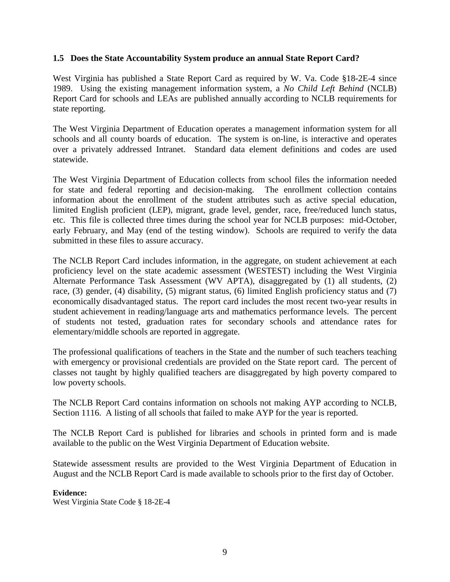#### **1.5 Does the State Accountability System produce an annual State Report Card?**

West Virginia has published a State Report Card as required by W. Va. Code §18-2E-4 since 1989. Using the existing management information system, a *No Child Left Behind* (NCLB) Report Card for schools and LEAs are published annually according to NCLB requirements for state reporting.

The West Virginia Department of Education operates a management information system for all schools and all county boards of education. The system is on-line, is interactive and operates over a privately addressed Intranet. Standard data element definitions and codes are used statewide.

The West Virginia Department of Education collects from school files the information needed for state and federal reporting and decision-making. The enrollment collection contains information about the enrollment of the student attributes such as active special education, limited English proficient (LEP), migrant, grade level, gender, race, free/reduced lunch status, etc. This file is collected three times during the school year for NCLB purposes: mid-October, early February, and May (end of the testing window). Schools are required to verify the data submitted in these files to assure accuracy.

The NCLB Report Card includes information, in the aggregate, on student achievement at each proficiency level on the state academic assessment (WESTEST) including the West Virginia Alternate Performance Task Assessment (WV APTA), disaggregated by (1) all students, (2) race, (3) gender, (4) disability, (5) migrant status, (6) limited English proficiency status and (7) economically disadvantaged status. The report card includes the most recent two-year results in student achievement in reading/language arts and mathematics performance levels. The percent of students not tested, graduation rates for secondary schools and attendance rates for elementary/middle schools are reported in aggregate.

The professional qualifications of teachers in the State and the number of such teachers teaching with emergency or provisional credentials are provided on the State report card. The percent of classes not taught by highly qualified teachers are disaggregated by high poverty compared to low poverty schools.

The NCLB Report Card contains information on schools not making AYP according to NCLB, Section 1116. A listing of all schools that failed to make AYP for the year is reported.

The NCLB Report Card is published for libraries and schools in printed form and is made available to the public on the West Virginia Department of Education website.

Statewide assessment results are provided to the West Virginia Department of Education in August and the NCLB Report Card is made available to schools prior to the first day of October.

#### **Evidence:**

West Virginia State Code § 18-2E-4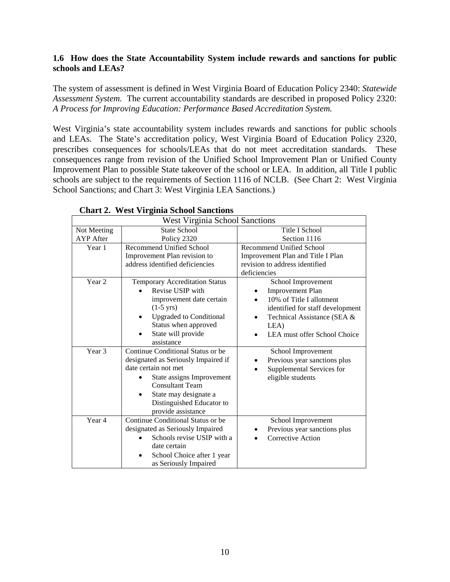#### **1.6 How does the State Accountability System include rewards and sanctions for public schools and LEAs?**

The system of assessment is defined in West Virginia Board of Education Policy 2340: *Statewide Assessment System.* The current accountability standards are described in proposed Policy 2320: *A Process for Improving Education: Performance Based Accreditation System.*

West Virginia's state accountability system includes rewards and sanctions for public schools and LEAs. The State's accreditation policy, West Virginia Board of Education Policy 2320, prescribes consequences for schools/LEAs that do not meet accreditation standards. These consequences range from revision of the Unified School Improvement Plan or Unified County Improvement Plan to possible State takeover of the school or LEA. In addition, all Title I public schools are subject to the requirements of Section 1116 of NCLB. (See Chart 2: West Virginia School Sanctions; and Chart 3: West Virginia LEA Sanctions.)

| <b>West Virginia School Sanctions</b> |                                             |                                       |  |  |  |  |
|---------------------------------------|---------------------------------------------|---------------------------------------|--|--|--|--|
| Not Meeting                           | State School                                | <b>Title I School</b>                 |  |  |  |  |
| <b>AYP</b> After                      | Policy 2320                                 | Section 1116                          |  |  |  |  |
| Year 1                                | <b>Recommend Unified School</b>             | Recommend Unified School              |  |  |  |  |
|                                       | Improvement Plan revision to                | Improvement Plan and Title I Plan     |  |  |  |  |
|                                       | address identified deficiencies             | revision to address identified        |  |  |  |  |
|                                       |                                             | deficiencies                          |  |  |  |  |
| Year 2                                | Temporary Accreditation Status              | School Improvement                    |  |  |  |  |
|                                       | Revise USIP with                            | <b>Improvement Plan</b>               |  |  |  |  |
|                                       | improvement date certain                    | 10% of Title I allotment<br>$\bullet$ |  |  |  |  |
|                                       | $(1-5 \text{ yrs})$                         | identified for staff development      |  |  |  |  |
|                                       | <b>Upgraded to Conditional</b><br>$\bullet$ | Technical Assistance (SEA &           |  |  |  |  |
|                                       | Status when approved                        | LEA)                                  |  |  |  |  |
|                                       | State will provide                          | LEA must offer School Choice          |  |  |  |  |
|                                       | assistance                                  |                                       |  |  |  |  |
| Year <sub>3</sub>                     | Continue Conditional Status or be           | School Improvement                    |  |  |  |  |
|                                       | designated as Seriously Impaired if         | Previous year sanctions plus<br>٠     |  |  |  |  |
|                                       | date certain not met                        | Supplemental Services for             |  |  |  |  |
|                                       | State assigns Improvement                   | eligible students                     |  |  |  |  |
|                                       | <b>Consultant Team</b>                      |                                       |  |  |  |  |
|                                       | State may designate a                       |                                       |  |  |  |  |
|                                       | Distinguished Educator to                   |                                       |  |  |  |  |
|                                       | provide assistance                          |                                       |  |  |  |  |
| Year 4                                | Continue Conditional Status or be           | School Improvement                    |  |  |  |  |
|                                       | designated as Seriously Impaired            | Previous year sanctions plus          |  |  |  |  |
|                                       | Schools revise USIP with a                  | Corrective Action                     |  |  |  |  |
|                                       | date certain                                |                                       |  |  |  |  |
|                                       | School Choice after 1 year                  |                                       |  |  |  |  |
|                                       | as Seriously Impaired                       |                                       |  |  |  |  |

#### **Chart 2. West Virginia School Sanctions**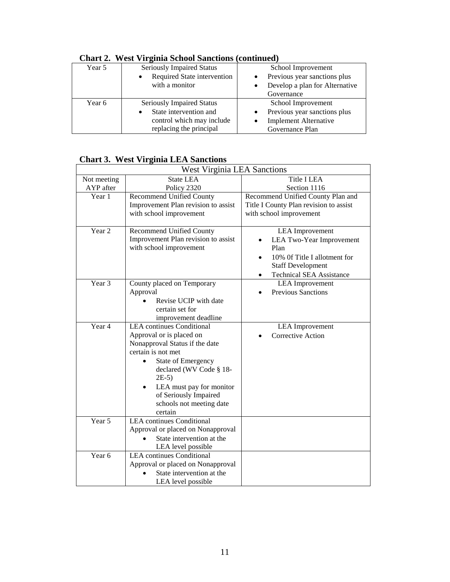|        | $\mathbf{C}$ nar $\mathbf{C}$ $\mathbf{C}$ $\mathbf{C}$ $\mathbf{C}$ $\mathbf{C}$ $\mathbf{C}$ $\mathbf{C}$ $\mathbf{C}$ $\mathbf{C}$ $\mathbf{C}$ $\mathbf{C}$ $\mathbf{C}$ $\mathbf{C}$ $\mathbf{C}$ $\mathbf{C}$ $\mathbf{C}$ $\mathbf{C}$ $\mathbf{C}$ $\mathbf{C}$ $\mathbf{C}$ $\mathbf{C}$ $\mathbf{C}$ $\mathbf{C}$ $\$ |                                             |  |  |
|--------|---------------------------------------------------------------------------------------------------------------------------------------------------------------------------------------------------------------------------------------------------------------------------------------------------------------------------------|---------------------------------------------|--|--|
| Year 5 | <b>Seriously Impaired Status</b>                                                                                                                                                                                                                                                                                                | School Improvement                          |  |  |
|        | Required State intervention<br>$\bullet$                                                                                                                                                                                                                                                                                        | Previous year sanctions plus                |  |  |
|        | with a monitor                                                                                                                                                                                                                                                                                                                  | Develop a plan for Alternative<br>$\bullet$ |  |  |
|        |                                                                                                                                                                                                                                                                                                                                 | Governance                                  |  |  |
| Year 6 | <b>Seriously Impaired Status</b>                                                                                                                                                                                                                                                                                                | School Improvement                          |  |  |
|        | State intervention and<br>$\bullet$                                                                                                                                                                                                                                                                                             | Previous year sanctions plus                |  |  |
|        | control which may include                                                                                                                                                                                                                                                                                                       | <b>Implement Alternative</b>                |  |  |
|        | replacing the principal                                                                                                                                                                                                                                                                                                         | Governance Plan                             |  |  |

**Chart 2. West Virginia School Sanctions (continued)**

# **Chart 3. West Virginia LEA Sanctions**

| <b>West Virginia LEA Sanctions</b> |                                     |                                        |  |  |  |
|------------------------------------|-------------------------------------|----------------------------------------|--|--|--|
| Not meeting                        | <b>State LEA</b>                    | <b>Title I LEA</b>                     |  |  |  |
| AYP after                          | Policy 2320                         | Section 1116                           |  |  |  |
| Year 1                             | <b>Recommend Unified County</b>     | Recommend Unified County Plan and      |  |  |  |
|                                    | Improvement Plan revision to assist | Title I County Plan revision to assist |  |  |  |
|                                    | with school improvement             | with school improvement                |  |  |  |
|                                    |                                     |                                        |  |  |  |
| Year <sub>2</sub>                  | <b>Recommend Unified County</b>     | <b>LEA</b> Improvement                 |  |  |  |
|                                    | Improvement Plan revision to assist | LEA Two-Year Improvement               |  |  |  |
|                                    | with school improvement             | Plan                                   |  |  |  |
|                                    |                                     | 10% Of Title I allotment for           |  |  |  |
|                                    |                                     | <b>Staff Development</b>               |  |  |  |
|                                    |                                     | <b>Technical SEA Assistance</b>        |  |  |  |
| Year 3                             | County placed on Temporary          | <b>LEA</b> Improvement                 |  |  |  |
|                                    | Approval                            | <b>Previous Sanctions</b>              |  |  |  |
|                                    | Revise UCIP with date               |                                        |  |  |  |
|                                    | certain set for                     |                                        |  |  |  |
|                                    | improvement deadline                |                                        |  |  |  |
| Year 4                             | <b>LEA</b> continues Conditional    | <b>LEA</b> Improvement                 |  |  |  |
|                                    | Approval or is placed on            | <b>Corrective Action</b>               |  |  |  |
|                                    | Nonapproval Status if the date      |                                        |  |  |  |
|                                    | certain is not met                  |                                        |  |  |  |
|                                    | <b>State of Emergency</b>           |                                        |  |  |  |
|                                    | declared (WV Code § 18-             |                                        |  |  |  |
|                                    | $2E-5$ )                            |                                        |  |  |  |
|                                    | LEA must pay for monitor            |                                        |  |  |  |
|                                    | of Seriously Impaired               |                                        |  |  |  |
|                                    | schools not meeting date            |                                        |  |  |  |
|                                    | certain                             |                                        |  |  |  |
| Year 5                             | <b>LEA</b> continues Conditional    |                                        |  |  |  |
|                                    | Approval or placed on Nonapproval   |                                        |  |  |  |
|                                    | State intervention at the           |                                        |  |  |  |
|                                    | LEA level possible                  |                                        |  |  |  |
| Year 6                             | <b>LEA</b> continues Conditional    |                                        |  |  |  |
|                                    | Approval or placed on Nonapproval   |                                        |  |  |  |
|                                    | State intervention at the           |                                        |  |  |  |
|                                    | LEA level possible                  |                                        |  |  |  |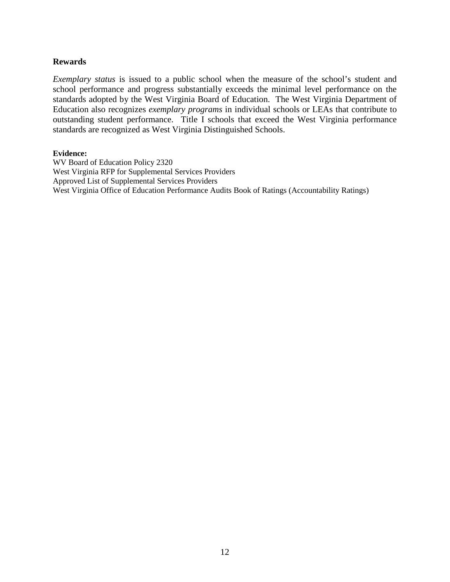#### **Rewards**

*Exemplary status* is issued to a public school when the measure of the school's student and school performance and progress substantially exceeds the minimal level performance on the standards adopted by the West Virginia Board of Education. The West Virginia Department of Education also recognizes *exemplary programs* in individual schools or LEAs that contribute to outstanding student performance. Title I schools that exceed the West Virginia performance standards are recognized as West Virginia Distinguished Schools.

#### **Evidence:**

WV Board of Education Policy 2320 West Virginia RFP for Supplemental Services Providers Approved List of Supplemental Services Providers West Virginia Office of Education Performance Audits Book of Ratings (Accountability Ratings)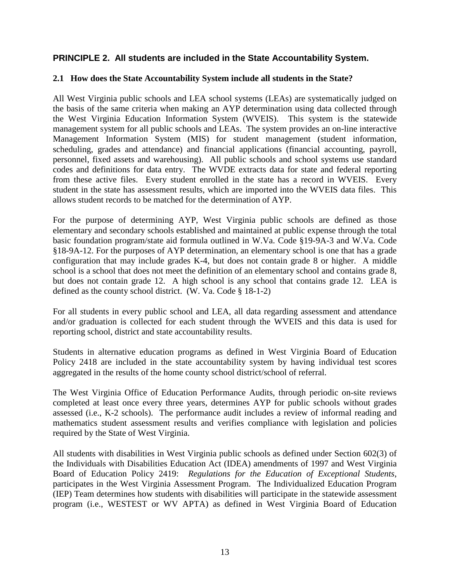#### **PRINCIPLE 2. All students are included in the State Accountability System.**

#### **2.1 How does the State Accountability System include all students in the State?**

All West Virginia public schools and LEA school systems (LEAs) are systematically judged on the basis of the same criteria when making an AYP determination using data collected through the West Virginia Education Information System (WVEIS). This system is the statewide management system for all public schools and LEAs. The system provides an on-line interactive Management Information System (MIS) for student management (student information, scheduling, grades and attendance) and financial applications (financial accounting, payroll, personnel, fixed assets and warehousing). All public schools and school systems use standard codes and definitions for data entry. The WVDE extracts data for state and federal reporting from these active files. Every student enrolled in the state has a record in WVEIS. Every student in the state has assessment results, which are imported into the WVEIS data files. This allows student records to be matched for the determination of AYP.

For the purpose of determining AYP, West Virginia public schools are defined as those elementary and secondary schools established and maintained at public expense through the total basic foundation program/state aid formula outlined in W.Va. Code §19-9A-3 and W.Va. Code §18-9A-12. For the purposes of AYP determination, an elementary school is one that has a grade configuration that may include grades K-4, but does not contain grade 8 or higher. A middle school is a school that does not meet the definition of an elementary school and contains grade 8, but does not contain grade 12. A high school is any school that contains grade 12. LEA is defined as the county school district. (W. Va. Code § 18-1-2)

For all students in every public school and LEA, all data regarding assessment and attendance and/or graduation is collected for each student through the WVEIS and this data is used for reporting school, district and state accountability results.

Students in alternative education programs as defined in West Virginia Board of Education Policy 2418 are included in the state accountability system by having individual test scores aggregated in the results of the home county school district/school of referral.

The West Virginia Office of Education Performance Audits, through periodic on-site reviews completed at least once every three years, determines AYP for public schools without grades assessed (i.e., K-2 schools). The performance audit includes a review of informal reading and mathematics student assessment results and verifies compliance with legislation and policies required by the State of West Virginia.

All students with disabilities in West Virginia public schools as defined under Section 602(3) of the Individuals with Disabilities Education Act (IDEA) amendments of 1997 and West Virginia Board of Education Policy 2419: *Regulations for the Education of Exceptional Students*, participates in the West Virginia Assessment Program. The Individualized Education Program (IEP) Team determines how students with disabilities will participate in the statewide assessment program (i.e., WESTEST or WV APTA) as defined in West Virginia Board of Education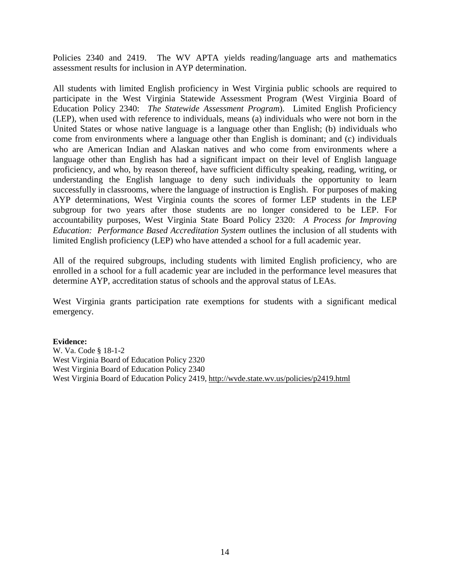Policies 2340 and 2419. The WV APTA yields reading/language arts and mathematics assessment results for inclusion in AYP determination.

All students with limited English proficiency in West Virginia public schools are required to participate in the West Virginia Statewide Assessment Program (West Virginia Board of Education Policy 2340: *The Statewide Assessment Program*). Limited English Proficiency (LEP), when used with reference to individuals, means (a) individuals who were not born in the United States or whose native language is a language other than English; (b) individuals who come from environments where a language other than English is dominant; and (c) individuals who are American Indian and Alaskan natives and who come from environments where a language other than English has had a significant impact on their level of English language proficiency, and who, by reason thereof, have sufficient difficulty speaking, reading, writing, or understanding the English language to deny such individuals the opportunity to learn successfully in classrooms, where the language of instruction is English. For purposes of making AYP determinations, West Virginia counts the scores of former LEP students in the LEP subgroup for two years after those students are no longer considered to be LEP. For accountability purposes, West Virginia State Board Policy 2320: *A Process for Improving Education: Performance Based Accreditation System* outlines the inclusion of all students with limited English proficiency (LEP) who have attended a school for a full academic year.

All of the required subgroups, including students with limited English proficiency, who are enrolled in a school for a full academic year are included in the performance level measures that determine AYP, accreditation status of schools and the approval status of LEAs.

West Virginia grants participation rate exemptions for students with a significant medical emergency.

#### **Evidence:**

W. Va. Code § 18-1-2 West Virginia Board of Education Policy 2320 West Virginia Board of Education Policy 2340 West Virginia Board of Education Policy 2419, <http://wvde.state.wv.us/policies/p2419.html>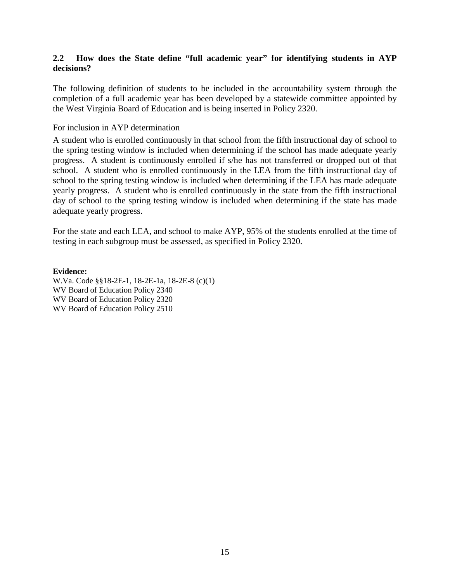#### **2.2 How does the State define "full academic year" for identifying students in AYP decisions?**

The following definition of students to be included in the accountability system through the completion of a full academic year has been developed by a statewide committee appointed by the West Virginia Board of Education and is being inserted in Policy 2320.

#### For inclusion in AYP determination

A student who is enrolled continuously in that school from the fifth instructional day of school to the spring testing window is included when determining if the school has made adequate yearly progress. A student is continuously enrolled if s/he has not transferred or dropped out of that school. A student who is enrolled continuously in the LEA from the fifth instructional day of school to the spring testing window is included when determining if the LEA has made adequate yearly progress. A student who is enrolled continuously in the state from the fifth instructional day of school to the spring testing window is included when determining if the state has made adequate yearly progress.

For the state and each LEA, and school to make AYP, 95% of the students enrolled at the time of testing in each subgroup must be assessed, as specified in Policy 2320.

**Evidence:** W.Va. Code §§18-2E-1, 18-2E-1a, 18-2E-8 (c)(1) WV Board of Education Policy 2340 WV Board of Education Policy 2320 WV Board of Education Policy 2510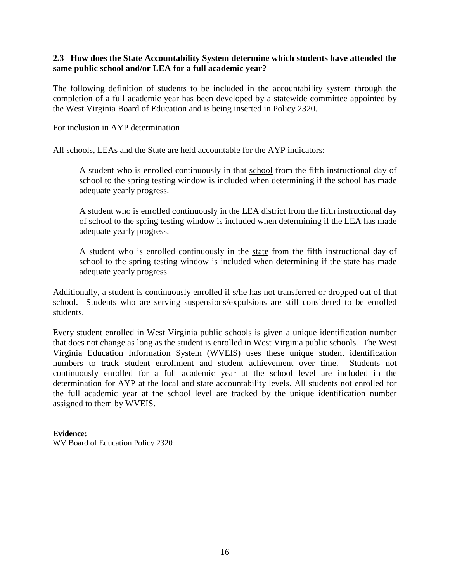#### **2.3 How does the State Accountability System determine which students have attended the same public school and/or LEA for a full academic year?**

The following definition of students to be included in the accountability system through the completion of a full academic year has been developed by a statewide committee appointed by the West Virginia Board of Education and is being inserted in Policy 2320.

For inclusion in AYP determination

All schools, LEAs and the State are held accountable for the AYP indicators:

A student who is enrolled continuously in that school from the fifth instructional day of school to the spring testing window is included when determining if the school has made adequate yearly progress.

A student who is enrolled continuously in the LEA district from the fifth instructional day of school to the spring testing window is included when determining if the LEA has made adequate yearly progress.

A student who is enrolled continuously in the state from the fifth instructional day of school to the spring testing window is included when determining if the state has made adequate yearly progress.

Additionally, a student is continuously enrolled if s/he has not transferred or dropped out of that school. Students who are serving suspensions/expulsions are still considered to be enrolled students.

Every student enrolled in West Virginia public schools is given a unique identification number that does not change as long as the student is enrolled in West Virginia public schools. The West Virginia Education Information System (WVEIS) uses these unique student identification numbers to track student enrollment and student achievement over time. Students not continuously enrolled for a full academic year at the school level are included in the determination for AYP at the local and state accountability levels. All students not enrolled for the full academic year at the school level are tracked by the unique identification number assigned to them by WVEIS.

#### **Evidence:**

WV Board of Education Policy 2320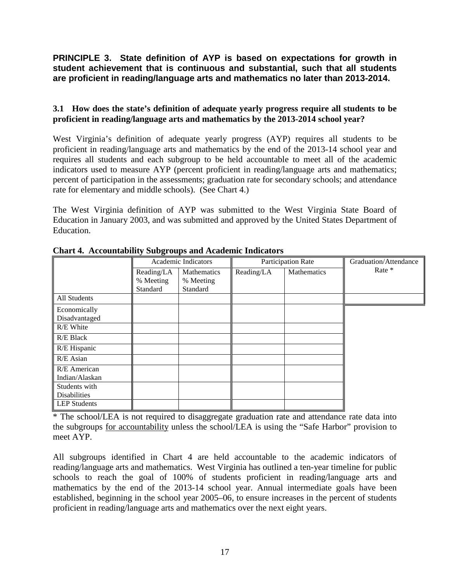#### **PRINCIPLE 3. State definition of AYP is based on expectations for growth in student achievement that is continuous and substantial, such that all students are proficient in reading/language arts and mathematics no later than 2013-2014.**

#### **3.1 How does the state's definition of adequate yearly progress require all students to be proficient in reading/language arts and mathematics by the 2013-2014 school year?**

West Virginia's definition of adequate yearly progress (AYP) requires all students to be proficient in reading/language arts and mathematics by the end of the 2013-14 school year and requires all students and each subgroup to be held accountable to meet all of the academic indicators used to measure AYP (percent proficient in reading/language arts and mathematics; percent of participation in the assessments; graduation rate for secondary schools; and attendance rate for elementary and middle schools). (See Chart 4.)

The West Virginia definition of AYP was submitted to the West Virginia State Board of Education in January 2003, and was submitted and approved by the United States Department of Education.

|                                            | Academic Indicators                 |                                             | Participation Rate |             | Graduation/Attendance |
|--------------------------------------------|-------------------------------------|---------------------------------------------|--------------------|-------------|-----------------------|
|                                            | Reading/LA<br>% Meeting<br>Standard | <b>Mathematics</b><br>% Meeting<br>Standard | Reading/LA         | Mathematics | Rate *                |
| All Students                               |                                     |                                             |                    |             |                       |
| Economically<br>Disadvantaged<br>R/E White |                                     |                                             |                    |             |                       |
| R/E Black                                  |                                     |                                             |                    |             |                       |
| R/E Hispanic                               |                                     |                                             |                    |             |                       |
| R/E Asian                                  |                                     |                                             |                    |             |                       |
| R/E American<br>Indian/Alaskan             |                                     |                                             |                    |             |                       |
| Students with<br><b>Disabilities</b>       |                                     |                                             |                    |             |                       |
| <b>LEP</b> Students                        |                                     |                                             |                    |             |                       |

**Chart 4. Accountability Subgroups and Academic Indicators**

\* The school/LEA is not required to disaggregate graduation rate and attendance rate data into the subgroups for accountability unless the school/LEA is using the "Safe Harbor" provision to meet AYP.

All subgroups identified in Chart 4 are held accountable to the academic indicators of reading/language arts and mathematics. West Virginia has outlined a ten-year timeline for public schools to reach the goal of 100% of students proficient in reading/language arts and mathematics by the end of the 2013-14 school year. Annual intermediate goals have been established, beginning in the school year 2005–06, to ensure increases in the percent of students proficient in reading/language arts and mathematics over the next eight years.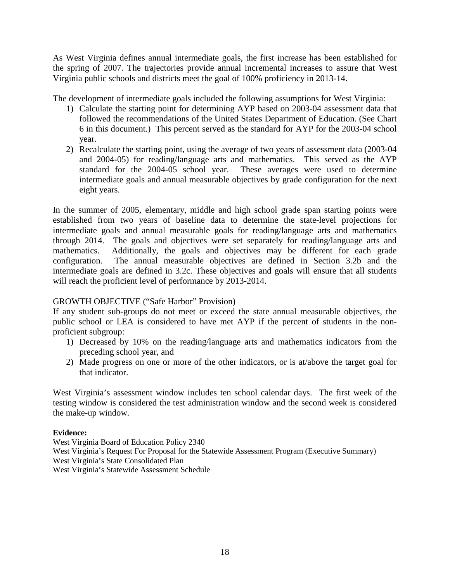As West Virginia defines annual intermediate goals, the first increase has been established for the spring of 2007. The trajectories provide annual incremental increases to assure that West Virginia public schools and districts meet the goal of 100% proficiency in 2013-14.

The development of intermediate goals included the following assumptions for West Virginia:

- 1) Calculate the starting point for determining AYP based on 2003-04 assessment data that followed the recommendations of the United States Department of Education. (See Chart 6 in this document.) This percent served as the standard for AYP for the 2003-04 school year.
- 2) Recalculate the starting point, using the average of two years of assessment data (2003-04 and 2004-05) for reading/language arts and mathematics. This served as the AYP standard for the 2004-05 school year. These averages were used to determine intermediate goals and annual measurable objectives by grade configuration for the next eight years.

In the summer of 2005, elementary, middle and high school grade span starting points were established from two years of baseline data to determine the state-level projections for intermediate goals and annual measurable goals for reading/language arts and mathematics through 2014. The goals and objectives were set separately for reading/language arts and mathematics. Additionally, the goals and objectives may be different for each grade configuration. The annual measurable objectives are defined in Section 3.2b and the intermediate goals are defined in 3.2c. These objectives and goals will ensure that all students will reach the proficient level of performance by 2013-2014.

#### GROWTH OBJECTIVE ("Safe Harbor" Provision)

If any student sub-groups do not meet or exceed the state annual measurable objectives, the public school or LEA is considered to have met AYP if the percent of students in the nonproficient subgroup:

- 1) Decreased by 10% on the reading/language arts and mathematics indicators from the preceding school year, and
- 2) Made progress on one or more of the other indicators, or is at/above the target goal for that indicator.

West Virginia's assessment window includes ten school calendar days. The first week of the testing window is considered the test administration window and the second week is considered the make-up window.

#### **Evidence:**

West Virginia Board of Education Policy 2340 West Virginia's Request For Proposal for the Statewide Assessment Program (Executive Summary) West Virginia's State Consolidated Plan West Virginia's Statewide Assessment Schedule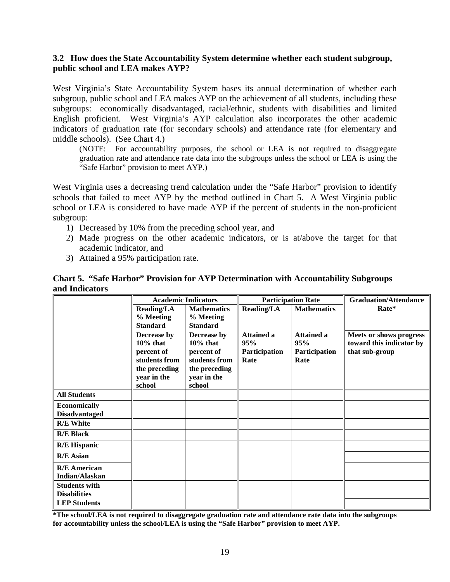#### **3.2 How does the State Accountability System determine whether each student subgroup, public school and LEA makes AYP?**

West Virginia's State Accountability System bases its annual determination of whether each subgroup, public school and LEA makes AYP on the achievement of all students, including these subgroups: economically disadvantaged, racial/ethnic, students with disabilities and limited English proficient. West Virginia's AYP calculation also incorporates the other academic indicators of graduation rate (for secondary schools) and attendance rate (for elementary and middle schools). (See Chart 4.)

(NOTE: For accountability purposes, the school or LEA is not required to disaggregate graduation rate and attendance rate data into the subgroups unless the school or LEA is using the "Safe Harbor" provision to meet AYP.)

West Virginia uses a decreasing trend calculation under the "Safe Harbor" provision to identify schools that failed to meet AYP by the method outlined in Chart 5. A West Virginia public school or LEA is considered to have made AYP if the percent of students in the non-proficient subgroup:

- 1) Decreased by 10% from the preceding school year, and
- 2) Made progress on the other academic indicators, or is at/above the target for that academic indicator, and
- 3) Attained a 95% participation rate.

#### **Chart 5. "Safe Harbor" Provision for AYP Determination with Accountability Subgroups and Indicators**

|                                             | <b>Academic Indicators</b>                                                                          |                                                                                                     | <b>Participation Rate</b>                         |                                                   | <b>Graduation/Attendance</b>                                                 |
|---------------------------------------------|-----------------------------------------------------------------------------------------------------|-----------------------------------------------------------------------------------------------------|---------------------------------------------------|---------------------------------------------------|------------------------------------------------------------------------------|
|                                             | <b>Reading/LA</b>                                                                                   | <b>Mathematics</b>                                                                                  | <b>Reading/LA</b>                                 | <b>Mathematics</b>                                | Rate*                                                                        |
|                                             | % Meeting<br><b>Standard</b>                                                                        | % Meeting<br><b>Standard</b>                                                                        |                                                   |                                                   |                                                                              |
|                                             | Decrease by<br>$10\%$ that<br>percent of<br>students from<br>the preceding<br>year in the<br>school | Decrease by<br>$10\%$ that<br>percent of<br>students from<br>the preceding<br>year in the<br>school | <b>Attained a</b><br>95%<br>Participation<br>Rate | <b>Attained a</b><br>95%<br>Participation<br>Rate | <b>Meets or shows progress</b><br>toward this indicator by<br>that sub-group |
| <b>All Students</b>                         |                                                                                                     |                                                                                                     |                                                   |                                                   |                                                                              |
| <b>Economically</b><br><b>Disadvantaged</b> |                                                                                                     |                                                                                                     |                                                   |                                                   |                                                                              |
| <b>R/E White</b>                            |                                                                                                     |                                                                                                     |                                                   |                                                   |                                                                              |
| <b>R/E Black</b>                            |                                                                                                     |                                                                                                     |                                                   |                                                   |                                                                              |
| <b>R/E</b> Hispanic                         |                                                                                                     |                                                                                                     |                                                   |                                                   |                                                                              |
| <b>R/E</b> Asian                            |                                                                                                     |                                                                                                     |                                                   |                                                   |                                                                              |
| <b>R/E</b> American<br>Indian/Alaskan       |                                                                                                     |                                                                                                     |                                                   |                                                   |                                                                              |
| <b>Students with</b><br><b>Disabilities</b> |                                                                                                     |                                                                                                     |                                                   |                                                   |                                                                              |
| <b>LEP Students</b>                         |                                                                                                     |                                                                                                     |                                                   |                                                   |                                                                              |

**\*The school/LEA is not required to disaggregate graduation rate and attendance rate data into the subgroups for accountability unless the school/LEA is using the "Safe Harbor" provision to meet AYP.**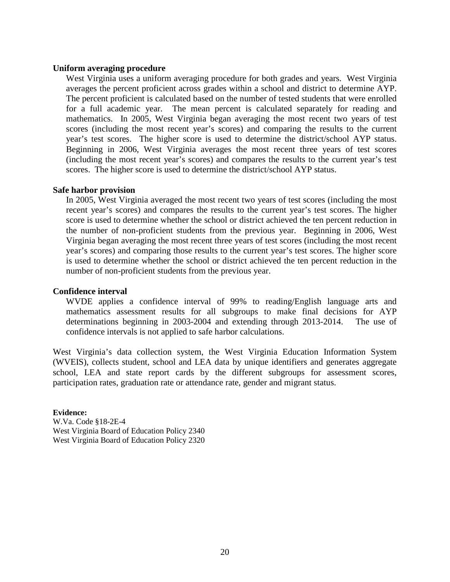#### **Uniform averaging procedure**

West Virginia uses a uniform averaging procedure for both grades and years. West Virginia averages the percent proficient across grades within a school and district to determine AYP. The percent proficient is calculated based on the number of tested students that were enrolled for a full academic year. The mean percent is calculated separately for reading and mathematics. In 2005, West Virginia began averaging the most recent two years of test scores (including the most recent year's scores) and comparing the results to the current year's test scores. The higher score is used to determine the district/school AYP status. Beginning in 2006, West Virginia averages the most recent three years of test scores (including the most recent year's scores) and compares the results to the current year's test scores. The higher score is used to determine the district/school AYP status.

#### **Safe harbor provision**

In 2005, West Virginia averaged the most recent two years of test scores (including the most recent year's scores) and compares the results to the current year's test scores. The higher score is used to determine whether the school or district achieved the ten percent reduction in the number of non-proficient students from the previous year. Beginning in 2006, West Virginia began averaging the most recent three years of test scores (including the most recent year's scores) and comparing those results to the current year's test scores. The higher score is used to determine whether the school or district achieved the ten percent reduction in the number of non-proficient students from the previous year.

#### **Confidence interval**

WVDE applies a confidence interval of 99% to reading/English language arts and mathematics assessment results for all subgroups to make final decisions for AYP determinations beginning in 2003-2004 and extending through 2013-2014. The use of confidence intervals is not applied to safe harbor calculations.

West Virginia's data collection system, the West Virginia Education Information System (WVEIS), collects student, school and LEA data by unique identifiers and generates aggregate school, LEA and state report cards by the different subgroups for assessment scores, participation rates, graduation rate or attendance rate, gender and migrant status.

**Evidence:** W.Va. Code §18-2E-4 West Virginia Board of Education Policy 2340 West Virginia Board of Education Policy 2320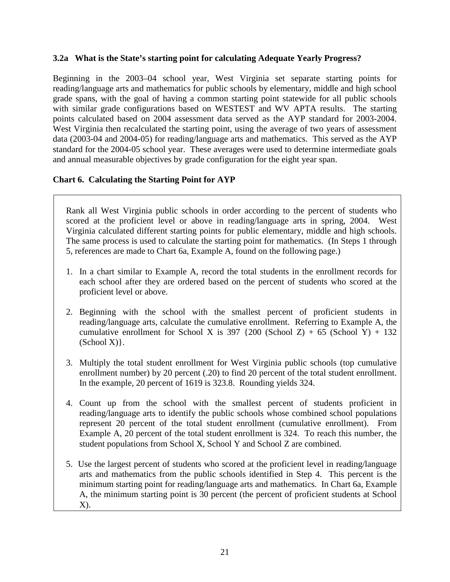#### **3.2a What is the State's starting point for calculating Adequate Yearly Progress?**

Beginning in the 2003–04 school year, West Virginia set separate starting points for reading/language arts and mathematics for public schools by elementary, middle and high school grade spans, with the goal of having a common starting point statewide for all public schools with similar grade configurations based on WESTEST and WV APTA results. The starting points calculated based on 2004 assessment data served as the AYP standard for 2003-2004. West Virginia then recalculated the starting point, using the average of two years of assessment data (2003-04 and 2004-05) for reading/language arts and mathematics. This served as the AYP standard for the 2004-05 school year. These averages were used to determine intermediate goals and annual measurable objectives by grade configuration for the eight year span.

#### **Chart 6. Calculating the Starting Point for AYP**

Rank all West Virginia public schools in order according to the percent of students who scored at the proficient level or above in reading/language arts in spring, 2004. West Virginia calculated different starting points for public elementary, middle and high schools. The same process is used to calculate the starting point for mathematics. (In Steps 1 through 5, references are made to Chart 6a, Example A, found on the following page.)

- 1. In a chart similar to Example A, record the total students in the enrollment records for each school after they are ordered based on the percent of students who scored at the proficient level or above.
- 2. Beginning with the school with the smallest percent of proficient students in reading/language arts, calculate the cumulative enrollment. Referring to Example A, the cumulative enrollment for School X is 397  $\{200 \text{ (School Z)} + 65 \text{ (School Y)} + 132 \}$  $(School X)$ .
- 3. Multiply the total student enrollment for West Virginia public schools (top cumulative enrollment number) by 20 percent (.20) to find 20 percent of the total student enrollment. In the example, 20 percent of 1619 is 323.8. Rounding yields 324.
- 4. Count up from the school with the smallest percent of students proficient in reading/language arts to identify the public schools whose combined school populations represent 20 percent of the total student enrollment (cumulative enrollment). From Example A, 20 percent of the total student enrollment is 324. To reach this number, the student populations from School X, School Y and School Z are combined.
- 5. Use the largest percent of students who scored at the proficient level in reading/language arts and mathematics from the public schools identified in Step 4. This percent is the minimum starting point for reading/language arts and mathematics. In Chart 6a, Example A, the minimum starting point is 30 percent (the percent of proficient students at School X).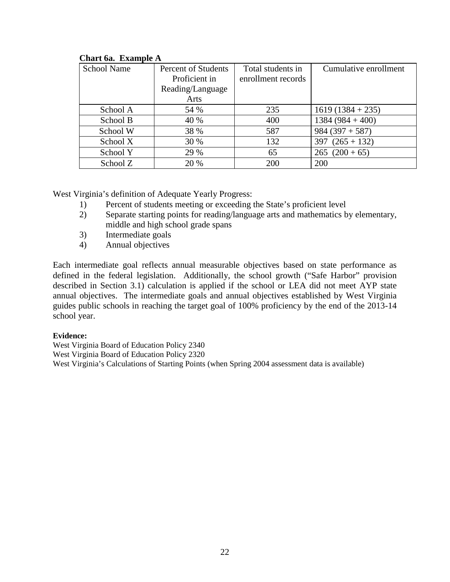| <b>School Name</b> | Percent of Students | Total students in  | Cumulative enrollment |
|--------------------|---------------------|--------------------|-----------------------|
|                    | Proficient in       | enrollment records |                       |
|                    | Reading/Language    |                    |                       |
|                    | Arts                |                    |                       |
| School A           | 54 %                | 235                | $1619(1384+235)$      |
| School B           | 40 %                | 400                | $1384(984+400)$       |
| School W           | 38 %                | 587                | $984(397+587)$        |
| School X           | 30 %                | 132                | 397 $(265 + 132)$     |
| School Y           | 29 %                | 65                 | $265(200+65)$         |
| School Z           | 20 %                | 200                | 200                   |

#### **Chart 6a. Example A**

West Virginia's definition of Adequate Yearly Progress:

- 1) Percent of students meeting or exceeding the State's proficient level
- 2) Separate starting points for reading/language arts and mathematics by elementary, middle and high school grade spans
- 3) Intermediate goals
- 4) Annual objectives

Each intermediate goal reflects annual measurable objectives based on state performance as defined in the federal legislation. Additionally, the school growth ("Safe Harbor" provision described in Section 3.1) calculation is applied if the school or LEA did not meet AYP state annual objectives. The intermediate goals and annual objectives established by West Virginia guides public schools in reaching the target goal of 100% proficiency by the end of the 2013-14 school year.

#### **Evidence:**

West Virginia Board of Education Policy 2340 West Virginia Board of Education Policy 2320 West Virginia's Calculations of Starting Points (when Spring 2004 assessment data is available)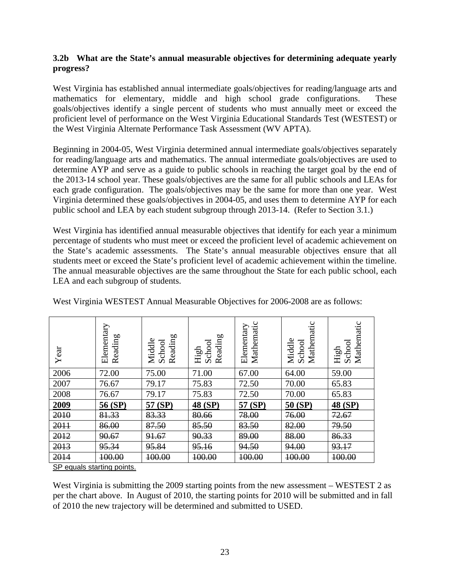#### **3.2b What are the State's annual measurable objectives for determining adequate yearly progress?**

West Virginia has established annual intermediate goals/objectives for reading/language arts and mathematics for elementary, middle and high school grade configurations. These goals/objectives identify a single percent of students who must annually meet or exceed the proficient level of performance on the West Virginia Educational Standards Test (WESTEST) or the West Virginia Alternate Performance Task Assessment (WV APTA).

Beginning in 2004-05, West Virginia determined annual intermediate goals/objectives separately for reading/language arts and mathematics. The annual intermediate goals/objectives are used to determine AYP and serve as a guide to public schools in reaching the target goal by the end of the 2013-14 school year. These goals/objectives are the same for all public schools and LEAs for each grade configuration. The goals/objectives may be the same for more than one year. West Virginia determined these goals/objectives in 2004-05, and uses them to determine AYP for each public school and LEA by each student subgroup through 2013-14. (Refer to Section 3.1.)

West Virginia has identified annual measurable objectives that identify for each year a minimum percentage of students who must meet or exceed the proficient level of academic achievement on the State's academic assessments. The State's annual measurable objectives ensure that all students meet or exceed the State's proficient level of academic achievement within the timeline. The annual measurable objectives are the same throughout the State for each public school, each LEA and each subgroup of students.

| Year | Elementary<br>Reading | Reading<br>Φ<br>School<br>Middle | Reading<br>School<br>High | Mathematic<br>Elementary | Mathematic<br>Φ<br>School<br>Middle | Mathematic<br>School<br>High |
|------|-----------------------|----------------------------------|---------------------------|--------------------------|-------------------------------------|------------------------------|
| 2006 | 72.00                 | 75.00                            | 71.00                     | 67.00                    | 64.00                               | 59.00                        |
| 2007 | 76.67                 | 79.17                            | 75.83                     | 72.50                    | 70.00                               | 65.83                        |
| 2008 | 76.67                 | 79.17                            | 75.83                     | 72.50                    | 70.00                               | 65.83                        |
| 2009 | 56(SP)                | 57 (SP)                          | 48 (SP)                   | 57 (SP)                  | 50 (SP)                             | 48 (SP)                      |
| 2010 | 81.33                 | 83.33                            | 80.66                     | 78.00                    | 76.00                               | 72.67                        |
| 2011 | 86.00                 | 87.50                            | 85.50                     | 83.50                    | 82.00                               | 79.50                        |
| 2012 | 90.67                 | 91.67                            | 90.33                     | 89.00                    | 88.00                               | 86.33                        |
| 2013 | 95.34                 | 95.84                            | 95.16                     | 94.50                    | 94.00                               | 93.17                        |
| 2014 | 100.00                | 100.00                           | 100.00                    | 100.00                   | 100.00                              | 100.00                       |

West Virginia WESTEST Annual Measurable Objectives for 2006-2008 are as follows:

SP equals starting points.

West Virginia is submitting the 2009 starting points from the new assessment – WESTEST 2 as per the chart above. In August of 2010, the starting points for 2010 will be submitted and in fall of 2010 the new trajectory will be determined and submitted to USED.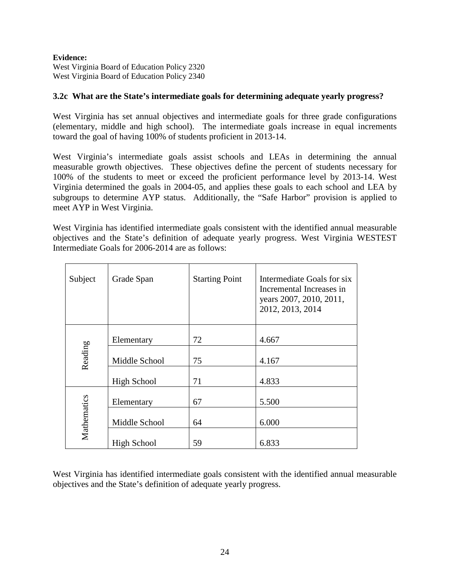#### **Evidence:**

West Virginia Board of Education Policy 2320 West Virginia Board of Education Policy 2340

#### **3.2c What are the State's intermediate goals for determining adequate yearly progress?**

West Virginia has set annual objectives and intermediate goals for three grade configurations (elementary, middle and high school). The intermediate goals increase in equal increments toward the goal of having 100% of students proficient in 2013-14.

West Virginia's intermediate goals assist schools and LEAs in determining the annual measurable growth objectives. These objectives define the percent of students necessary for 100% of the students to meet or exceed the proficient performance level by 2013-14. West Virginia determined the goals in 2004-05, and applies these goals to each school and LEA by subgroups to determine AYP status. Additionally, the "Safe Harbor" provision is applied to meet AYP in West Virginia.

West Virginia has identified intermediate goals consistent with the identified annual measurable objectives and the State's definition of adequate yearly progress. West Virginia WESTEST Intermediate Goals for 2006-2014 are as follows:

| Subject     | Grade Span         | <b>Starting Point</b> | Intermediate Goals for six<br>Incremental Increases in<br>years 2007, 2010, 2011,<br>2012, 2013, 2014 |
|-------------|--------------------|-----------------------|-------------------------------------------------------------------------------------------------------|
|             | Elementary         | 72                    | 4.667                                                                                                 |
| Reading     | Middle School      | 75                    | 4.167                                                                                                 |
|             | <b>High School</b> | 71                    | 4.833                                                                                                 |
|             | Elementary         | 67                    | 5.500                                                                                                 |
| Mathematics | Middle School      | 64                    | 6.000                                                                                                 |
|             | <b>High School</b> | 59                    | 6.833                                                                                                 |

West Virginia has identified intermediate goals consistent with the identified annual measurable objectives and the State's definition of adequate yearly progress.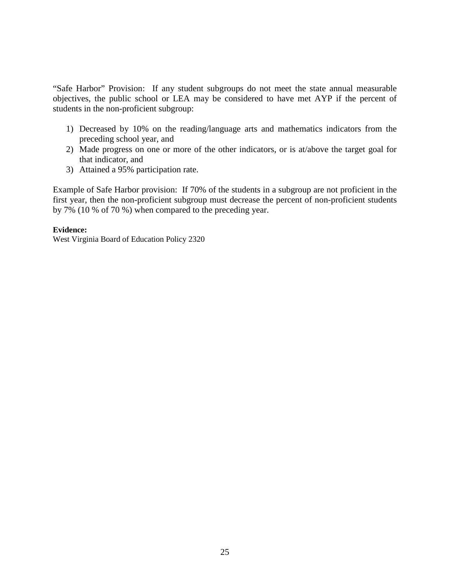"Safe Harbor" Provision: If any student subgroups do not meet the state annual measurable objectives, the public school or LEA may be considered to have met AYP if the percent of students in the non-proficient subgroup:

- 1) Decreased by 10% on the reading/language arts and mathematics indicators from the preceding school year, and
- 2) Made progress on one or more of the other indicators, or is at/above the target goal for that indicator, and
- 3) Attained a 95% participation rate.

Example of Safe Harbor provision: If 70% of the students in a subgroup are not proficient in the first year, then the non-proficient subgroup must decrease the percent of non-proficient students by 7% (10 % of 70 %) when compared to the preceding year.

#### **Evidence:**

West Virginia Board of Education Policy 2320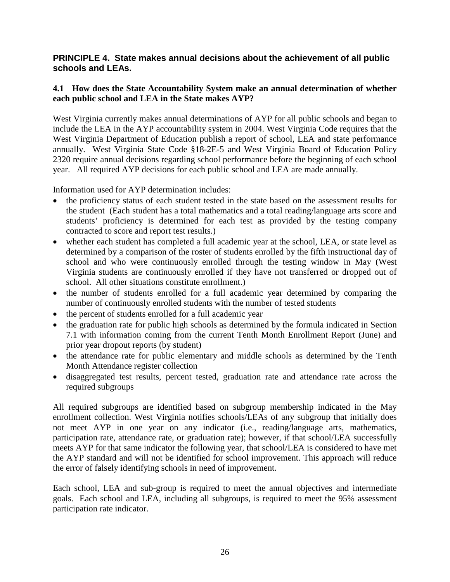#### **PRINCIPLE 4. State makes annual decisions about the achievement of all public schools and LEAs.**

#### **4.1 How does the State Accountability System make an annual determination of whether each public school and LEA in the State makes AYP?**

West Virginia currently makes annual determinations of AYP for all public schools and began to include the LEA in the AYP accountability system in 2004. West Virginia Code requires that the West Virginia Department of Education publish a report of school, LEA and state performance annually. West Virginia State Code §18-2E-5 and West Virginia Board of Education Policy 2320 require annual decisions regarding school performance before the beginning of each school year. All required AYP decisions for each public school and LEA are made annually.

Information used for AYP determination includes:

- the proficiency status of each student tested in the state based on the assessment results for the student (Each student has a total mathematics and a total reading/language arts score and students' proficiency is determined for each test as provided by the testing company contracted to score and report test results.)
- whether each student has completed a full academic year at the school, LEA, or state level as determined by a comparison of the roster of students enrolled by the fifth instructional day of school and who were continuously enrolled through the testing window in May (West Virginia students are continuously enrolled if they have not transferred or dropped out of school. All other situations constitute enrollment.)
- the number of students enrolled for a full academic year determined by comparing the number of continuously enrolled students with the number of tested students
- the percent of students enrolled for a full academic year
- the graduation rate for public high schools as determined by the formula indicated in Section 7.1 with information coming from the current Tenth Month Enrollment Report (June) and prior year dropout reports (by student)
- the attendance rate for public elementary and middle schools as determined by the Tenth Month Attendance register collection
- disaggregated test results, percent tested, graduation rate and attendance rate across the required subgroups

All required subgroups are identified based on subgroup membership indicated in the May enrollment collection. West Virginia notifies schools/LEAs of any subgroup that initially does not meet AYP in one year on any indicator (i.e., reading/language arts, mathematics, participation rate, attendance rate, or graduation rate); however, if that school/LEA successfully meets AYP for that same indicator the following year, that school/LEA is considered to have met the AYP standard and will not be identified for school improvement. This approach will reduce the error of falsely identifying schools in need of improvement.

Each school, LEA and sub-group is required to meet the annual objectives and intermediate goals. Each school and LEA, including all subgroups, is required to meet the 95% assessment participation rate indicator.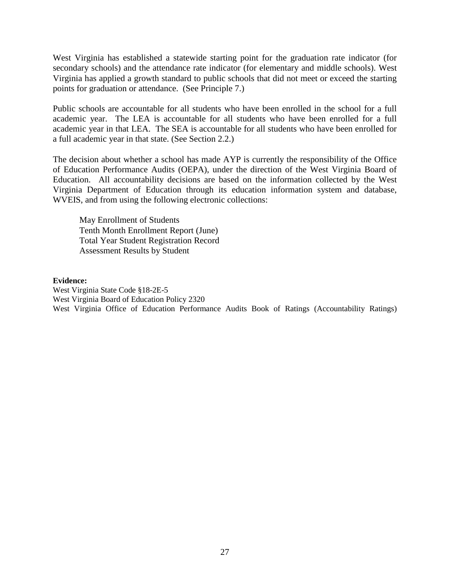West Virginia has established a statewide starting point for the graduation rate indicator (for secondary schools) and the attendance rate indicator (for elementary and middle schools). West Virginia has applied a growth standard to public schools that did not meet or exceed the starting points for graduation or attendance. (See Principle 7.)

Public schools are accountable for all students who have been enrolled in the school for a full academic year. The LEA is accountable for all students who have been enrolled for a full academic year in that LEA. The SEA is accountable for all students who have been enrolled for a full academic year in that state. (See Section 2.2.)

The decision about whether a school has made AYP is currently the responsibility of the Office of Education Performance Audits (OEPA), under the direction of the West Virginia Board of Education. All accountability decisions are based on the information collected by the West Virginia Department of Education through its education information system and database, WVEIS, and from using the following electronic collections:

May Enrollment of Students Tenth Month Enrollment Report (June) Total Year Student Registration Record Assessment Results by Student

#### **Evidence:**

West Virginia State Code §18-2E-5 West Virginia Board of Education Policy 2320 West Virginia Office of Education Performance Audits Book of Ratings (Accountability Ratings)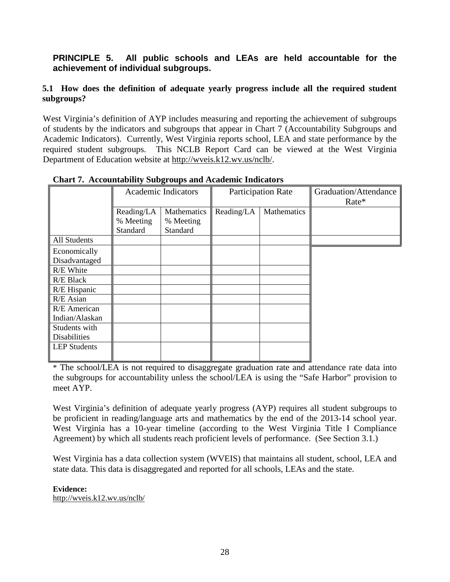#### **PRINCIPLE 5. All public schools and LEAs are held accountable for the achievement of individual subgroups.**

#### **5.1 How does the definition of adequate yearly progress include all the required student subgroups?**

West Virginia's definition of AYP includes measuring and reporting the achievement of subgroups of students by the indicators and subgroups that appear in Chart 7 (Accountability Subgroups and Academic Indicators). Currently, West Virginia reports school, LEA and state performance by the required student subgroups. This NCLB Report Card can be viewed at the West Virginia Department of Education website at [http://wveis.k12.wv.us/nclb/.](http://wveis.k12.wv.us/nclb/)

|                                                                                      | Academic Indicators                 |                                      | <b>Participation Rate</b> |             | Graduation/Attendance<br>Rate* |
|--------------------------------------------------------------------------------------|-------------------------------------|--------------------------------------|---------------------------|-------------|--------------------------------|
|                                                                                      | Reading/LA<br>% Meeting<br>Standard | Mathematics<br>% Meeting<br>Standard | Reading/LA                | Mathematics |                                |
| All Students                                                                         |                                     |                                      |                           |             |                                |
| Economically<br>Disadvantaged<br>R/E White<br>R/E Black<br>R/E Hispanic<br>R/E Asian |                                     |                                      |                           |             |                                |
| <b>R/E</b> American<br>Indian/Alaskan                                                |                                     |                                      |                           |             |                                |
| Students with<br><b>Disabilities</b><br><b>LEP Students</b>                          |                                     |                                      |                           |             |                                |
|                                                                                      |                                     |                                      |                           |             |                                |

**Chart 7. Accountability Subgroups and Academic Indicators**

\* The school/LEA is not required to disaggregate graduation rate and attendance rate data into the subgroups for accountability unless the school/LEA is using the "Safe Harbor" provision to meet AYP.

West Virginia's definition of adequate yearly progress (AYP) requires all student subgroups to be proficient in reading/language arts and mathematics by the end of the 2013-14 school year. West Virginia has a 10-year timeline (according to the West Virginia Title I Compliance Agreement) by which all students reach proficient levels of performance. (See Section 3.1.)

West Virginia has a data collection system (WVEIS) that maintains all student, school, LEA and state data. This data is disaggregated and reported for all schools, LEAs and the state.

**Evidence:**  <http://wveis.k12.wv.us/nclb/>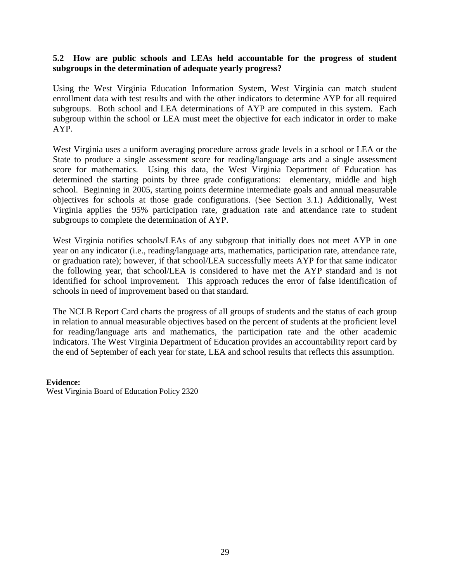#### **5.2 How are public schools and LEAs held accountable for the progress of student subgroups in the determination of adequate yearly progress?**

Using the West Virginia Education Information System, West Virginia can match student enrollment data with test results and with the other indicators to determine AYP for all required subgroups. Both school and LEA determinations of AYP are computed in this system. Each subgroup within the school or LEA must meet the objective for each indicator in order to make AYP.

West Virginia uses a uniform averaging procedure across grade levels in a school or LEA or the State to produce a single assessment score for reading/language arts and a single assessment score for mathematics. Using this data, the West Virginia Department of Education has determined the starting points by three grade configurations: elementary, middle and high school. Beginning in 2005, starting points determine intermediate goals and annual measurable objectives for schools at those grade configurations. (See Section 3.1.) Additionally, West Virginia applies the 95% participation rate, graduation rate and attendance rate to student subgroups to complete the determination of AYP.

West Virginia notifies schools/LEAs of any subgroup that initially does not meet AYP in one year on any indicator (i.e., reading/language arts, mathematics, participation rate, attendance rate, or graduation rate); however, if that school/LEA successfully meets AYP for that same indicator the following year, that school/LEA is considered to have met the AYP standard and is not identified for school improvement. This approach reduces the error of false identification of schools in need of improvement based on that standard.

The NCLB Report Card charts the progress of all groups of students and the status of each group in relation to annual measurable objectives based on the percent of students at the proficient level for reading/language arts and mathematics, the participation rate and the other academic indicators. The West Virginia Department of Education provides an accountability report card by the end of September of each year for state, LEA and school results that reflects this assumption.

**Evidence:**

West Virginia Board of Education Policy 2320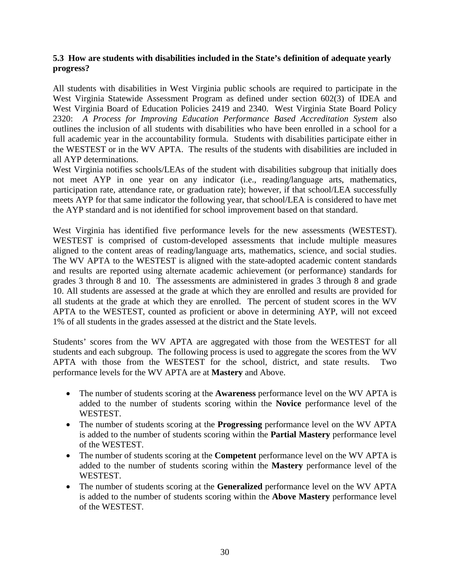#### **5.3 How are students with disabilities included in the State's definition of adequate yearly progress?**

All students with disabilities in West Virginia public schools are required to participate in the West Virginia Statewide Assessment Program as defined under section 602(3) of IDEA and West Virginia Board of Education Policies 2419 and 2340. West Virginia State Board Policy 2320: *A Process for Improving Education Performance Based Accreditation System* also outlines the inclusion of all students with disabilities who have been enrolled in a school for a full academic year in the accountability formula. Students with disabilities participate either in the WESTEST or in the WV APTA. The results of the students with disabilities are included in all AYP determinations.

West Virginia notifies schools/LEAs of the student with disabilities subgroup that initially does not meet AYP in one year on any indicator (i.e., reading/language arts, mathematics, participation rate, attendance rate, or graduation rate); however, if that school/LEA successfully meets AYP for that same indicator the following year, that school/LEA is considered to have met the AYP standard and is not identified for school improvement based on that standard.

West Virginia has identified five performance levels for the new assessments (WESTEST). WESTEST is comprised of custom-developed assessments that include multiple measures aligned to the content areas of reading/language arts, mathematics, science, and social studies. The WV APTA to the WESTEST is aligned with the state-adopted academic content standards and results are reported using alternate academic achievement (or performance) standards for grades 3 through 8 and 10. The assessments are administered in grades 3 through 8 and grade 10. All students are assessed at the grade at which they are enrolled and results are provided for all students at the grade at which they are enrolled. The percent of student scores in the WV APTA to the WESTEST, counted as proficient or above in determining AYP, will not exceed 1% of all students in the grades assessed at the district and the State levels.

Students' scores from the WV APTA are aggregated with those from the WESTEST for all students and each subgroup. The following process is used to aggregate the scores from the WV APTA with those from the WESTEST for the school, district, and state results. Two performance levels for the WV APTA are at **Mastery** and Above.

- The number of students scoring at the **Awareness** performance level on the WV APTA is added to the number of students scoring within the **Novice** performance level of the WESTEST.
- The number of students scoring at the **Progressing** performance level on the WV APTA is added to the number of students scoring within the **Partial Mastery** performance level of the WESTEST.
- The number of students scoring at the **Competent** performance level on the WV APTA is added to the number of students scoring within the **Mastery** performance level of the WESTEST.
- The number of students scoring at the **Generalized** performance level on the WV APTA is added to the number of students scoring within the **Above Mastery** performance level of the WESTEST.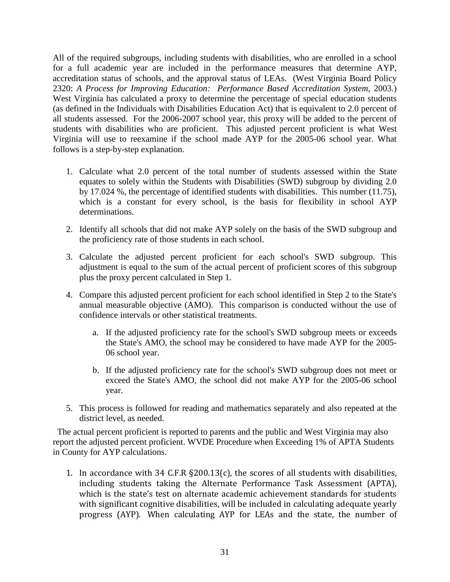All of the required subgroups, including students with disabilities, who are enrolled in a school for a full academic year are included in the performance measures that determine AYP, accreditation status of schools, and the approval status of LEAs. (West Virginia Board Policy 2320: *A Process for Improving Education: Performance Based Accreditation System*, 2003.) West Virginia has calculated a proxy to determine the percentage of special education students (as defined in the Individuals with Disabilities Education Act) that is equivalent to 2.0 percent of all students assessed. For the 2006-2007 school year, this proxy will be added to the percent of students with disabilities who are proficient. This adjusted percent proficient is what West Virginia will use to reexamine if the school made AYP for the 2005-06 school year. What follows is a step-by-step explanation.

- 1. Calculate what 2.0 percent of the total number of students assessed within the State equates to solely within the Students with Disabilities (SWD) subgroup by dividing 2.0 by 17.024 %, the percentage of identified students with disabilities. This number (11.75), which is a constant for every school, is the basis for flexibility in school AYP determinations.
- 2. Identify all schools that did not make AYP solely on the basis of the SWD subgroup and the proficiency rate of those students in each school.
- 3. Calculate the adjusted percent proficient for each school's SWD subgroup. This adjustment is equal to the sum of the actual percent of proficient scores of this subgroup plus the proxy percent calculated in Step 1.
- 4. Compare this adjusted percent proficient for each school identified in Step 2 to the State's annual measurable objective (AMO). This comparison is conducted without the use of confidence intervals or other statistical treatments.
	- a. If the adjusted proficiency rate for the school's SWD subgroup meets or exceeds the State's AMO, the school may be considered to have made AYP for the 2005- 06 school year.
	- b. If the adjusted proficiency rate for the school's SWD subgroup does not meet or exceed the State's AMO, the school did not make AYP for the 2005-06 school year.
- 5. This process is followed for reading and mathematics separately and also repeated at the district level, as needed.

 The actual percent proficient is reported to parents and the public and West Virginia may also report the adjusted percent proficient. WVDE Procedure when Exceeding 1% of APTA Students in County for AYP calculations.

1. In accordance with 34 C.F.R §200.13(c), the scores of all students with disabilities, including students taking the Alternate Performance Task Assessment (APTA), which is the state's test on alternate academic achievement standards for students with significant cognitive disabilities, will be included in calculating adequate yearly progress (AYP). When calculating AYP for LEAs and the state, the number of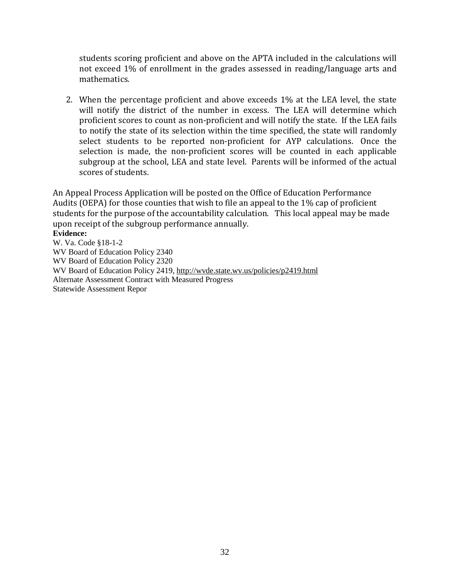students scoring proficient and above on the APTA included in the calculations will not exceed 1% of enrollment in the grades assessed in reading/language arts and mathematics.

2. When the percentage proficient and above exceeds 1% at the LEA level, the state will notify the district of the number in excess. The LEA will determine which proficient scores to count as non-proficient and will notify the state. If the LEA fails to notify the state of its selection within the time specified, the state will randomly select students to be reported non-proficient for AYP calculations. Once the selection is made, the non-proficient scores will be counted in each applicable subgroup at the school, LEA and state level. Parents will be informed of the actual scores of students.

An Appeal Process Application will be posted on the Office of Education Performance Audits (OEPA) for those counties that wish to file an appeal to the 1% cap of proficient students for the purpose of the accountability calculation. This local appeal may be made upon receipt of the subgroup performance annually. **Evidence:**

W. Va. Code §18-1-2 WV Board of Education Policy 2340 WV Board of Education Policy 2320 WV Board of Education Policy 2419, [http://wvde.state.wv.us/policies/p2419.html](http://wvde.state.wv.us/policies/p2320.html) Alternate Assessment Contract with Measured Progress Statewide Assessment Repor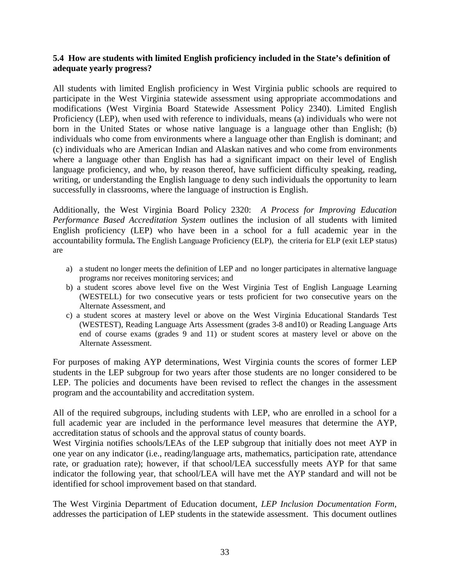#### **5.4 How are students with limited English proficiency included in the State's definition of adequate yearly progress?**

All students with limited English proficiency in West Virginia public schools are required to participate in the West Virginia statewide assessment using appropriate accommodations and modifications (West Virginia Board Statewide Assessment Policy 2340). Limited English Proficiency (LEP), when used with reference to individuals, means (a) individuals who were not born in the United States or whose native language is a language other than English; (b) individuals who come from environments where a language other than English is dominant; and (c) individuals who are American Indian and Alaskan natives and who come from environments where a language other than English has had a significant impact on their level of English language proficiency, and who, by reason thereof, have sufficient difficulty speaking, reading, writing, or understanding the English language to deny such individuals the opportunity to learn successfully in classrooms, where the language of instruction is English.

Additionally, the West Virginia Board Policy 2320: *A Process for Improving Education Performance Based Accreditation System* outlines the inclusion of all students with limited English proficiency (LEP) who have been in a school for a full academic year in the accountability formula**.** The English Language Proficiency (ELP), the criteria for ELP (exit LEP status) are

- a) a student no longer meets the definition of LEP and no longer participates in alternative language programs nor receives monitoring services; and
- b) a student scores above level five on the West Virginia Test of English Language Learning (WESTELL) for two consecutive years or tests proficient for two consecutive years on the Alternate Assessment, and
- c) a student scores at mastery level or above on the West Virginia Educational Standards Test (WESTEST), Reading Language Arts Assessment (grades 3-8 and10) or Reading Language Arts end of course exams (grades 9 and 11) or student scores at mastery level or above on the Alternate Assessment.

For purposes of making AYP determinations, West Virginia counts the scores of former LEP students in the LEP subgroup for two years after those students are no longer considered to be LEP. The policies and documents have been revised to reflect the changes in the assessment program and the accountability and accreditation system.

All of the required subgroups, including students with LEP, who are enrolled in a school for a full academic year are included in the performance level measures that determine the AYP, accreditation status of schools and the approval status of county boards.

West Virginia notifies schools/LEAs of the LEP subgroup that initially does not meet AYP in one year on any indicator (i.e., reading/language arts, mathematics, participation rate, attendance rate, or graduation rate); however, if that school/LEA successfully meets AYP for that same indicator the following year, that school/LEA will have met the AYP standard and will not be identified for school improvement based on that standard.

The West Virginia Department of Education document, *LEP Inclusion Documentation Form,*  addresses the participation of LEP students in the statewide assessment.This document outlines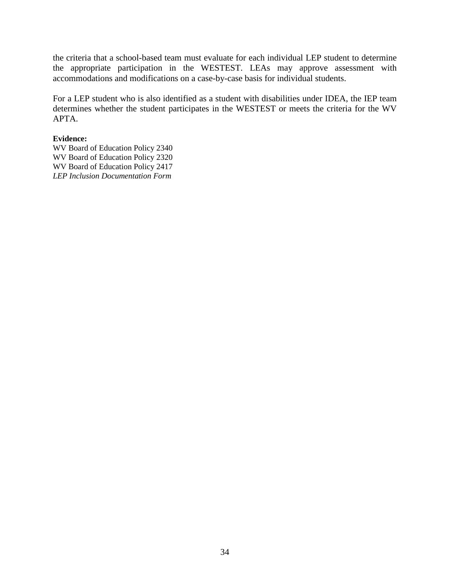the criteria that a school-based team must evaluate for each individual LEP student to determine the appropriate participation in the WESTEST. LEAs may approve assessment with accommodations and modifications on a case-by-case basis for individual students.

For a LEP student who is also identified as a student with disabilities under IDEA, the IEP team determines whether the student participates in the WESTEST or meets the criteria for the WV APTA.

#### **Evidence:**

WV Board of Education Policy 2340 WV Board of Education Policy 2320 WV Board of Education Policy 2417 *LEP Inclusion Documentation Form*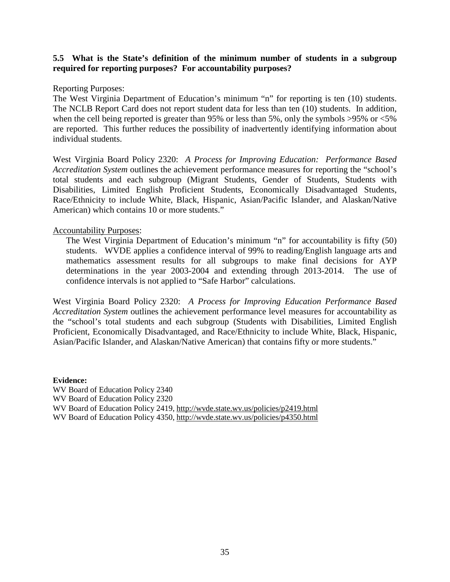#### **5.5 What is the State's definition of the minimum number of students in a subgroup required for reporting purposes? For accountability purposes?**

#### Reporting Purposes:

The West Virginia Department of Education's minimum "n" for reporting is ten (10) students. The NCLB Report Card does not report student data for less than ten (10) students. In addition, when the cell being reported is greater than 95% or less than 5%, only the symbols  $>95\%$  or  $<5\%$ are reported. This further reduces the possibility of inadvertently identifying information about individual students.

West Virginia Board Policy 2320: *A Process for Improving Education: Performance Based Accreditation System* outlines the achievement performance measures for reporting the "school's total students and each subgroup (Migrant Students, Gender of Students, Students with Disabilities, Limited English Proficient Students, Economically Disadvantaged Students, Race/Ethnicity to include White, Black, Hispanic, Asian/Pacific Islander, and Alaskan/Native American) which contains 10 or more students."

#### Accountability Purposes:

The West Virginia Department of Education's minimum "n" for accountability is fifty (50) students. WVDE applies a confidence interval of 99% to reading/English language arts and mathematics assessment results for all subgroups to make final decisions for AYP determinations in the year 2003-2004 and extending through 2013-2014. The use of confidence intervals is not applied to "Safe Harbor" calculations.

West Virginia Board Policy 2320: *A Process for Improving Education Performance Based Accreditation System* outlines the achievement performance level measures for accountability as the "school's total students and each subgroup (Students with Disabilities, Limited English Proficient, Economically Disadvantaged, and Race/Ethnicity to include White, Black, Hispanic, Asian/Pacific Islander, and Alaskan/Native American) that contains fifty or more students."

**Evidence:** WV Board of Education Policy 2340 WV Board of Education Policy 2320 WV Board of Education Policy 2419, [http://wvde.state.wv.us/policies/p2419.html](http://wvde.state.wv.us/policies/p2320.html) WV Board of Education Policy 4350, <http://wvde.state.wv.us/policies/p4350.html>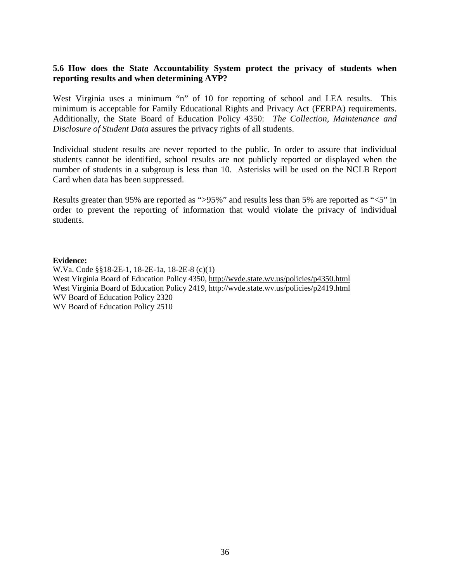#### **5.6 How does the State Accountability System protect the privacy of students when reporting results and when determining AYP?**

West Virginia uses a minimum "n" of 10 for reporting of school and LEA results. This minimum is acceptable for Family Educational Rights and Privacy Act (FERPA) requirements. Additionally, the State Board of Education Policy 4350: *The Collection, Maintenance and Disclosure of Student Data* assures the privacy rights of all students.

Individual student results are never reported to the public. In order to assure that individual students cannot be identified, school results are not publicly reported or displayed when the number of students in a subgroup is less than 10. Asterisks will be used on the NCLB Report Card when data has been suppressed.

Results greater than 95% are reported as ">95%" and results less than 5% are reported as "<5" in order to prevent the reporting of information that would violate the privacy of individual students.

#### **Evidence:**

W.Va. Code §§18-2E-1, 18-2E-1a, 18-2E-8 (c)(1) West Virginia Board of Education Policy 4350, <http://wvde.state.wv.us/policies/p4350.html> West Virginia Board of Education Policy 2419,<http://wvde.state.wv.us/policies/p2419.html> WV Board of Education Policy 2320 WV Board of Education Policy 2510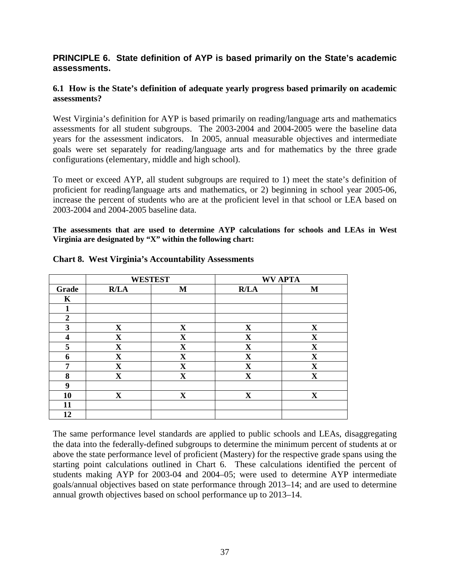#### **PRINCIPLE 6. State definition of AYP is based primarily on the State's academic assessments.**

#### **6.1 How is the State's definition of adequate yearly progress based primarily on academic assessments?**

West Virginia's definition for AYP is based primarily on reading/language arts and mathematics assessments for all student subgroups. The 2003-2004 and 2004-2005 were the baseline data years for the assessment indicators. In 2005, annual measurable objectives and intermediate goals were set separately for reading/language arts and for mathematics by the three grade configurations (elementary, middle and high school).

To meet or exceed AYP, all student subgroups are required to 1) meet the state's definition of proficient for reading/language arts and mathematics, or 2) beginning in school year 2005-06, increase the percent of students who are at the proficient level in that school or LEA based on 2003-2004 and 2004-2005 baseline data.

**The assessments that are used to determine AYP calculations for schools and LEAs in West Virginia are designated by "X" within the following chart:**

|                  | <b>WESTEST</b> |              | <b>WV APTA</b> |             |
|------------------|----------------|--------------|----------------|-------------|
| Grade            | R/LA           | M            | R/LA           | M           |
| K                |                |              |                |             |
| 1                |                |              |                |             |
| $\boldsymbol{2}$ |                |              |                |             |
| 3                | $\mathbf X$    | $\mathbf{X}$ | $\mathbf X$    | $\mathbf X$ |
| $\boldsymbol{4}$ | $\mathbf X$    | $\mathbf X$  | $\mathbf X$    | $\mathbf X$ |
| 5                | $\mathbf X$    | $\mathbf X$  | $\mathbf X$    | $\mathbf X$ |
| 6                | $\mathbf{X}$   | $\mathbf{X}$ | $\mathbf X$    | $\mathbf X$ |
| 7                | $\mathbf X$    | $\mathbf X$  | X              | X           |
| 8                | $\mathbf X$    | $\mathbf X$  | $\mathbf X$    | $\mathbf X$ |
| 9                |                |              |                |             |
| 10               | $\mathbf{X}$   | $\mathbf{X}$ | $\mathbf X$    | X           |
| 11               |                |              |                |             |
| 12               |                |              |                |             |

#### **Chart 8. West Virginia's Accountability Assessments**

The same performance level standards are applied to public schools and LEAs, disaggregating the data into the federally-defined subgroups to determine the minimum percent of students at or above the state performance level of proficient (Mastery) for the respective grade spans using the starting point calculations outlined in Chart 6. These calculations identified the percent of students making AYP for 2003-04 and 2004–05; were used to determine AYP intermediate goals/annual objectives based on state performance through 2013–14; and are used to determine annual growth objectives based on school performance up to 2013–14.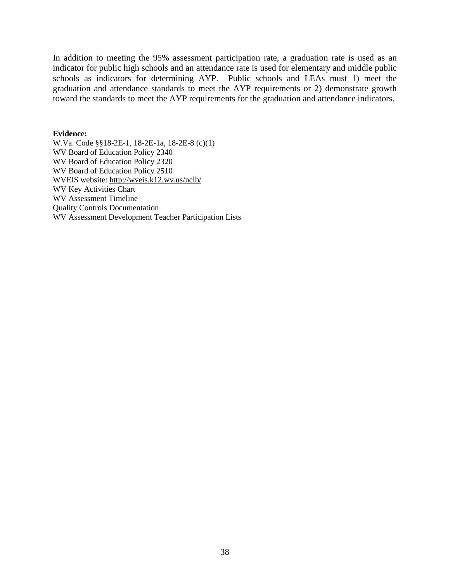In addition to meeting the 95% assessment participation rate, a graduation rate is used as an indicator for public high schools and an attendance rate is used for elementary and middle public schools as indicators for determining AYP. Public schools and LEAs must 1) meet the graduation and attendance standards to meet the AYP requirements or 2) demonstrate growth toward the standards to meet the AYP requirements for the graduation and attendance indicators.

#### **Evidence:**

W.Va. Code §§18-2E-1, 18-2E-1a, 18-2E-8 (c)(1) WV Board of Education Policy 2340 WV Board of Education Policy 2320 WV Board of Education Policy 2510 WVEIS website:<http://wveis.k12.wv.us/nclb/> WV Key Activities Chart WV Assessment Timeline Quality Controls Documentation WV Assessment Development Teacher Participation Lists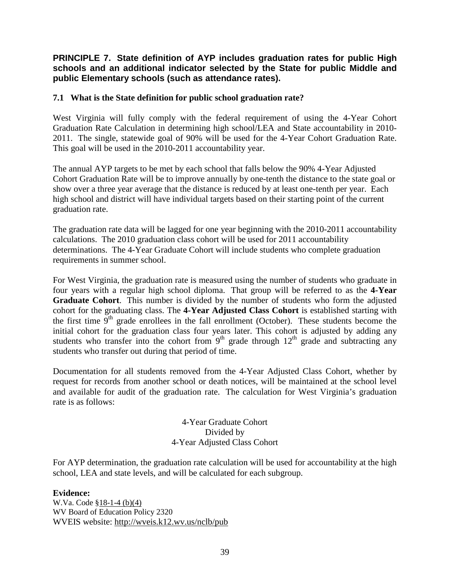#### **PRINCIPLE 7. State definition of AYP includes graduation rates for public High schools and an additional indicator selected by the State for public Middle and public Elementary schools (such as attendance rates).**

#### **7.1 What is the State definition for public school graduation rate?**

West Virginia will fully comply with the federal requirement of using the 4-Year Cohort Graduation Rate Calculation in determining high school/LEA and State accountability in 2010- 2011. The single, statewide goal of 90% will be used for the 4-Year Cohort Graduation Rate. This goal will be used in the 2010-2011 accountability year.

The annual AYP targets to be met by each school that falls below the 90% 4-Year Adjusted Cohort Graduation Rate will be to improve annually by one-tenth the distance to the state goal or show over a three year average that the distance is reduced by at least one-tenth per year. Each high school and district will have individual targets based on their starting point of the current graduation rate.

The graduation rate data will be lagged for one year beginning with the 2010-2011 accountability calculations. The 2010 graduation class cohort will be used for 2011 accountability determinations. The 4-Year Graduate Cohort will include students who complete graduation requirements in summer school.

For West Virginia, the graduation rate is measured using the number of students who graduate in four years with a regular high school diploma. That group will be referred to as the **4-Year Graduate Cohort**. This number is divided by the number of students who form the adjusted cohort for the graduating class. The **4-Year Adjusted Class Cohort** is established starting with the first time  $\tilde{9}^{th}$  grade enrollees in the fall enrollment (October). These students become the initial cohort for the graduation class four years later. This cohort is adjusted by adding any students who transfer into the cohort from  $9<sup>th</sup>$  grade through  $12<sup>th</sup>$  grade and subtracting any students who transfer out during that period of time.

Documentation for all students removed from the 4-Year Adjusted Class Cohort, whether by request for records from another school or death notices, will be maintained at the school level and available for audit of the graduation rate. The calculation for West Virginia's graduation rate is as follows:

> 4-Year Graduate Cohort Divided by 4-Year Adjusted Class Cohort

For AYP determination, the graduation rate calculation will be used for accountability at the high school, LEA and state levels, and will be calculated for each subgroup.

#### **Evidence:**

W.Va. Code §18-1-4 (b)(4) WV Board of Education Policy 2320 WVEIS website:<http://wveis.k12.wv.us/nclb/pub>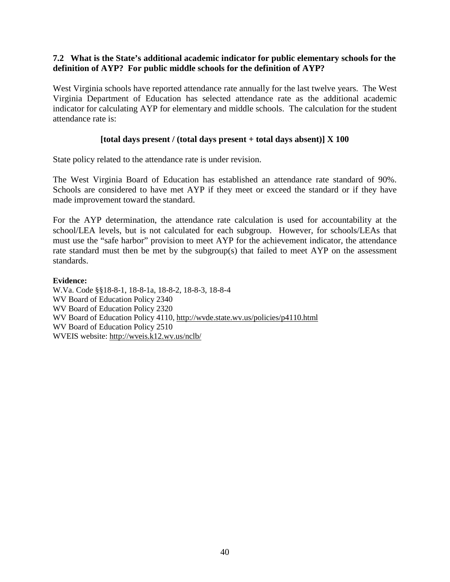#### **7.2 What is the State's additional academic indicator for public elementary schools for the definition of AYP? For public middle schools for the definition of AYP?**

West Virginia schools have reported attendance rate annually for the last twelve years. The West Virginia Department of Education has selected attendance rate as the additional academic indicator for calculating AYP for elementary and middle schools. The calculation for the student attendance rate is:

#### **[total days present / (total days present + total days absent)] X 100**

State policy related to the attendance rate is under revision.

The West Virginia Board of Education has established an attendance rate standard of 90%. Schools are considered to have met AYP if they meet or exceed the standard or if they have made improvement toward the standard.

For the AYP determination, the attendance rate calculation is used for accountability at the school/LEA levels, but is not calculated for each subgroup. However, for schools/LEAs that must use the "safe harbor" provision to meet AYP for the achievement indicator, the attendance rate standard must then be met by the subgroup(s) that failed to meet AYP on the assessment standards.

#### **Evidence:**

W.Va. Code §§18-8-1, 18-8-1a, 18-8-2, 18-8-3, 18-8-4 WV Board of Education Policy 2340 WV Board of Education Policy 2320 WV Board of Education Policy 4110,<http://wvde.state.wv.us/policies/p4110.html> WV Board of Education Policy 2510 WVEIS website:<http://wveis.k12.wv.us/nclb/>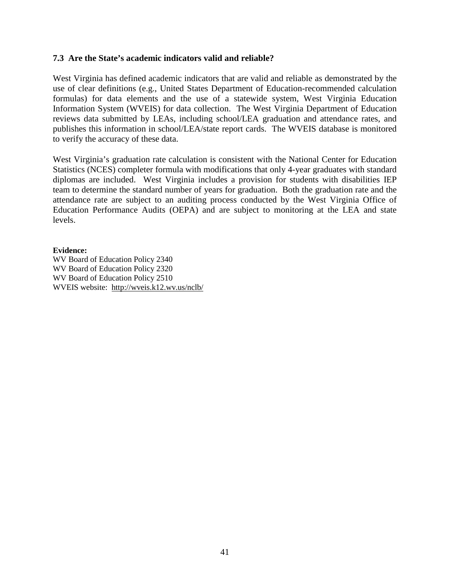#### **7.3 Are the State's academic indicators valid and reliable?**

West Virginia has defined academic indicators that are valid and reliable as demonstrated by the use of clear definitions (e.g., United States Department of Education-recommended calculation formulas) for data elements and the use of a statewide system, West Virginia Education Information System (WVEIS) for data collection. The West Virginia Department of Education reviews data submitted by LEAs, including school/LEA graduation and attendance rates, and publishes this information in school/LEA/state report cards. The WVEIS database is monitored to verify the accuracy of these data.

West Virginia's graduation rate calculation is consistent with the National Center for Education Statistics (NCES) completer formula with modifications that only 4-year graduates with standard diplomas are included. West Virginia includes a provision for students with disabilities IEP team to determine the standard number of years for graduation. Both the graduation rate and the attendance rate are subject to an auditing process conducted by the West Virginia Office of Education Performance Audits (OEPA) and are subject to monitoring at the LEA and state levels.

#### **Evidence:**

WV Board of Education Policy 2340 WV Board of Education Policy 2320 WV Board of Education Policy 2510 WVEIS website:<http://wveis.k12.wv.us/nclb/>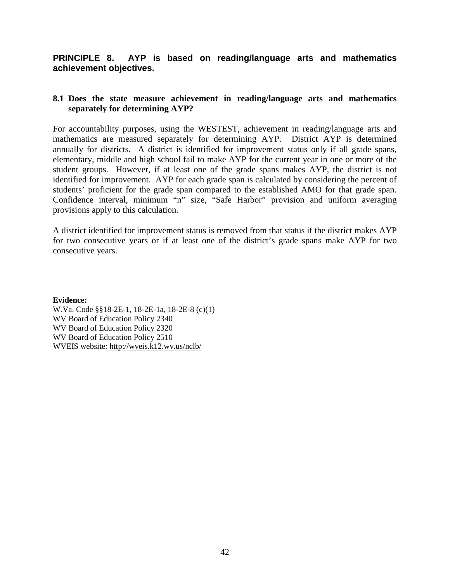**PRINCIPLE 8. AYP is based on reading/language arts and mathematics achievement objectives.**

#### **8.1 Does the state measure achievement in reading/language arts and mathematics separately for determining AYP?**

For accountability purposes, using the WESTEST, achievement in reading/language arts and mathematics are measured separately for determining AYP. District AYP is determined annually for districts. A district is identified for improvement status only if all grade spans, elementary, middle and high school fail to make AYP for the current year in one or more of the student groups. However, if at least one of the grade spans makes AYP, the district is not identified for improvement. AYP for each grade span is calculated by considering the percent of students' proficient for the grade span compared to the established AMO for that grade span. Confidence interval, minimum "n" size, "Safe Harbor" provision and uniform averaging provisions apply to this calculation.

A district identified for improvement status is removed from that status if the district makes AYP for two consecutive years or if at least one of the district's grade spans make AYP for two consecutive years.

**Evidence:**

W.Va. Code §§18-2E-1, 18-2E-1a, 18-2E-8 (c)(1) WV Board of Education Policy 2340 WV Board of Education Policy 2320 WV Board of Education Policy 2510 WVEIS website:<http://wveis.k12.wv.us/nclb/>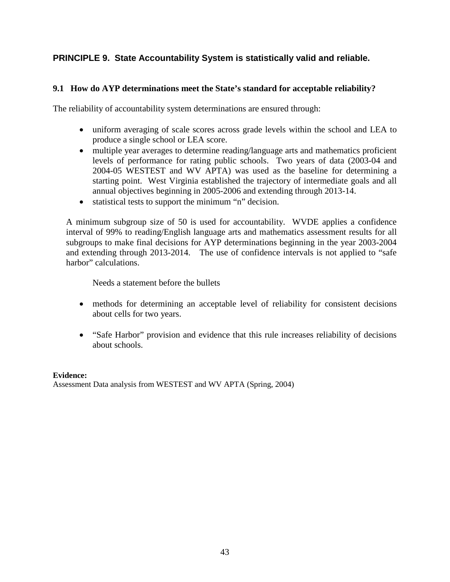### **PRINCIPLE 9. State Accountability System is statistically valid and reliable.**

#### **9.1 How do AYP determinations meet the State's standard for acceptable reliability?**

The reliability of accountability system determinations are ensured through:

- uniform averaging of scale scores across grade levels within the school and LEA to produce a single school or LEA score.
- multiple year averages to determine reading/language arts and mathematics proficient levels of performance for rating public schools. Two years of data (2003-04 and 2004-05 WESTEST and WV APTA) was used as the baseline for determining a starting point. West Virginia established the trajectory of intermediate goals and all annual objectives beginning in 2005-2006 and extending through 2013-14.
- statistical tests to support the minimum "n" decision.

A minimum subgroup size of 50 is used for accountability. WVDE applies a confidence interval of 99% to reading/English language arts and mathematics assessment results for all subgroups to make final decisions for AYP determinations beginning in the year 2003-2004 and extending through 2013-2014. The use of confidence intervals is not applied to "safe harbor" calculations.

Needs a statement before the bullets

- methods for determining an acceptable level of reliability for consistent decisions about cells for two years.
- "Safe Harbor" provision and evidence that this rule increases reliability of decisions about schools.

#### **Evidence:**

Assessment Data analysis from WESTEST and WV APTA (Spring, 2004)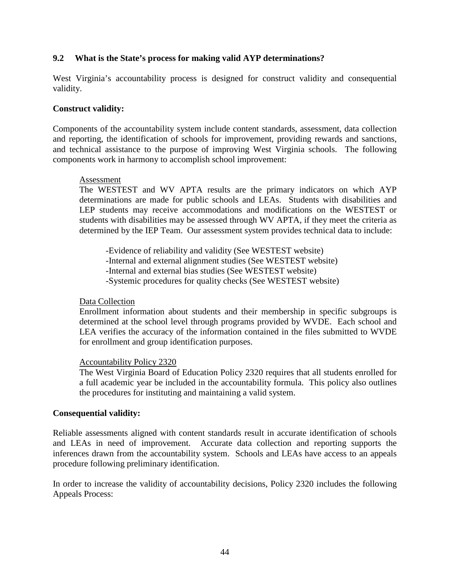#### **9.2 What is the State's process for making valid AYP determinations?**

West Virginia's accountability process is designed for construct validity and consequential validity.

#### **Construct validity:**

Components of the accountability system include content standards, assessment, data collection and reporting, the identification of schools for improvement, providing rewards and sanctions, and technical assistance to the purpose of improving West Virginia schools. The following components work in harmony to accomplish school improvement:

#### Assessment

The WESTEST and WV APTA results are the primary indicators on which AYP determinations are made for public schools and LEAs. Students with disabilities and LEP students may receive accommodations and modifications on the WESTEST or students with disabilities may be assessed through WV APTA, if they meet the criteria as determined by the IEP Team. Our assessment system provides technical data to include:

-Evidence of reliability and validity (See WESTEST website) -Internal and external alignment studies (See WESTEST website) -Internal and external bias studies (See WESTEST website) -Systemic procedures for quality checks (See WESTEST website)

#### Data Collection

Enrollment information about students and their membership in specific subgroups is determined at the school level through programs provided by WVDE. Each school and LEA verifies the accuracy of the information contained in the files submitted to WVDE for enrollment and group identification purposes.

#### Accountability Policy 2320

The West Virginia Board of Education Policy 2320 requires that all students enrolled for a full academic year be included in the accountability formula. This policy also outlines the procedures for instituting and maintaining a valid system.

#### **Consequential validity:**

Reliable assessments aligned with content standards result in accurate identification of schools and LEAs in need of improvement. Accurate data collection and reporting supports the inferences drawn from the accountability system. Schools and LEAs have access to an appeals procedure following preliminary identification.

In order to increase the validity of accountability decisions, Policy 2320 includes the following Appeals Process: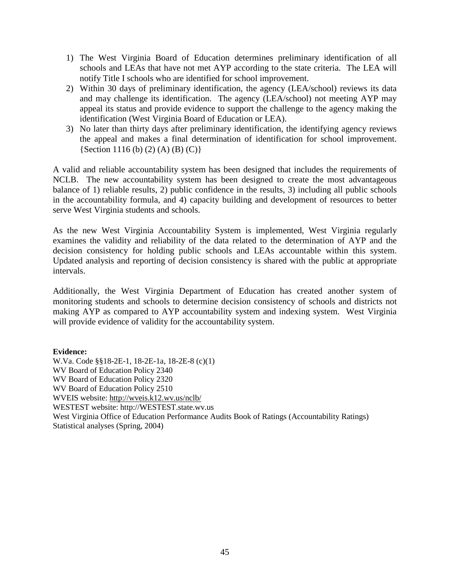- 1) The West Virginia Board of Education determines preliminary identification of all schools and LEAs that have not met AYP according to the state criteria. The LEA will notify Title I schools who are identified for school improvement.
- 2) Within 30 days of preliminary identification, the agency (LEA/school) reviews its data and may challenge its identification. The agency (LEA/school) not meeting AYP may appeal its status and provide evidence to support the challenge to the agency making the identification (West Virginia Board of Education or LEA).
- 3) No later than thirty days after preliminary identification, the identifying agency reviews the appeal and makes a final determination of identification for school improvement.  ${Section 1116 (b) (2) (A) (B) (C)}$

A valid and reliable accountability system has been designed that includes the requirements of NCLB. The new accountability system has been designed to create the most advantageous balance of 1) reliable results, 2) public confidence in the results, 3) including all public schools in the accountability formula, and 4) capacity building and development of resources to better serve West Virginia students and schools.

As the new West Virginia Accountability System is implemented, West Virginia regularly examines the validity and reliability of the data related to the determination of AYP and the decision consistency for holding public schools and LEAs accountable within this system. Updated analysis and reporting of decision consistency is shared with the public at appropriate intervals.

Additionally, the West Virginia Department of Education has created another system of monitoring students and schools to determine decision consistency of schools and districts not making AYP as compared to AYP accountability system and indexing system. West Virginia will provide evidence of validity for the accountability system.

**Evidence:** W.Va. Code §§18-2E-1, 18-2E-1a, 18-2E-8 (c)(1) WV Board of Education Policy 2340 WV Board of Education Policy 2320 WV Board of Education Policy 2510 WVEIS website:<http://wveis.k12.wv.us/nclb/> WESTEST website: http://WESTEST.state.wv.us West Virginia Office of Education Performance Audits Book of Ratings (Accountability Ratings) Statistical analyses (Spring, 2004)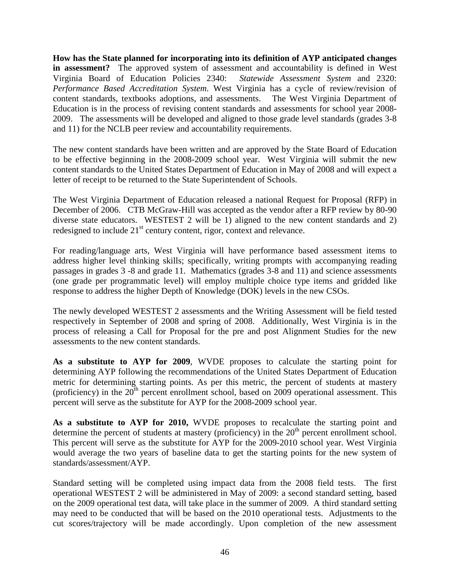**How has the State planned for incorporating into its definition of AYP anticipated changes in assessment?** The approved system of assessment and accountability is defined in West Virginia Board of Education Policies 2340: *Statewide Assessment System* and 2320: *Performance Based Accreditation System*. West Virginia has a cycle of review/revision of content standards, textbooks adoptions, and assessments. The West Virginia Department of Education is in the process of revising content standards and assessments for school year 2008- 2009. The assessments will be developed and aligned to those grade level standards (grades 3-8 and 11) for the NCLB peer review and accountability requirements.

The new content standards have been written and are approved by the State Board of Education to be effective beginning in the 2008-2009 school year. West Virginia will submit the new content standards to the United States Department of Education in May of 2008 and will expect a letter of receipt to be returned to the State Superintendent of Schools.

The West Virginia Department of Education released a national Request for Proposal (RFP) in December of 2006. CTB McGraw-Hill was accepted as the vendor after a RFP review by 80-90 diverse state educators. WESTEST 2 will be 1) aligned to the new content standards and 2) redesigned to include 21<sup>st</sup> century content, rigor, context and relevance.

For reading/language arts, West Virginia will have performance based assessment items to address higher level thinking skills; specifically, writing prompts with accompanying reading passages in grades 3 -8 and grade 11. Mathematics (grades 3-8 and 11) and science assessments (one grade per programmatic level) will employ multiple choice type items and gridded like response to address the higher Depth of Knowledge (DOK) levels in the new CSOs.

The newly developed WESTEST 2 assessments and the Writing Assessment will be field tested respectively in September of 2008 and spring of 2008. Additionally, West Virginia is in the process of releasing a Call for Proposal for the pre and post Alignment Studies for the new assessments to the new content standards.

**As a substitute to AYP for 2009**, WVDE proposes to calculate the starting point for determining AYP following the recommendations of the United States Department of Education metric for determining starting points. As per this metric, the percent of students at mastery (proficiency) in the  $20^{th}$  percent enrollment school, based on 2009 operational assessment. This percent will serve as the substitute for AYP for the 2008-2009 school year.

**As a substitute to AYP for 2010,** WVDE proposes to recalculate the starting point and determine the percent of students at mastery (proficiency) in the  $20<sup>th</sup>$  percent enrollment school. This percent will serve as the substitute for AYP for the 2009-2010 school year. West Virginia would average the two years of baseline data to get the starting points for the new system of standards/assessment/AYP.

Standard setting will be completed using impact data from the 2008 field tests. The first operational WESTEST 2 will be administered in May of 2009: a second standard setting, based on the 2009 operational test data, will take place in the summer of 2009. A third standard setting may need to be conducted that will be based on the 2010 operational tests. Adjustments to the cut scores/trajectory will be made accordingly. Upon completion of the new assessment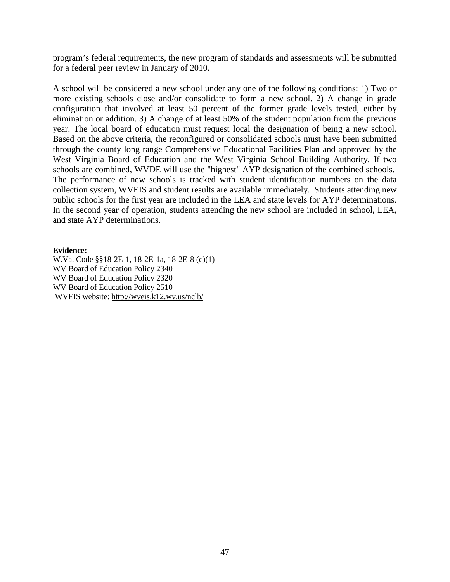program's federal requirements, the new program of standards and assessments will be submitted for a federal peer review in January of 2010.

A school will be considered a new school under any one of the following conditions: 1) Two or more existing schools close and/or consolidate to form a new school. 2) A change in grade configuration that involved at least 50 percent of the former grade levels tested, either by elimination or addition. 3) A change of at least 50% of the student population from the previous year. The local board of education must request local the designation of being a new school. Based on the above criteria, the reconfigured or consolidated schools must have been submitted through the county long range Comprehensive Educational Facilities Plan and approved by the West Virginia Board of Education and the West Virginia School Building Authority. If two schools are combined, WVDE will use the "highest" AYP designation of the combined schools. The performance of new schools is tracked with student identification numbers on the data collection system, WVEIS and student results are available immediately. Students attending new public schools for the first year are included in the LEA and state levels for AYP determinations. In the second year of operation, students attending the new school are included in school, LEA, and state AYP determinations.

#### **Evidence:**

W.Va. Code §§18-2E-1, 18-2E-1a, 18-2E-8 (c)(1) WV Board of Education Policy 2340 WV Board of Education Policy 2320 WV Board of Education Policy 2510 WVEIS website[: http://wveis.k12.wv.us/nclb/](http://wveis.k12.wv.us/nclb/)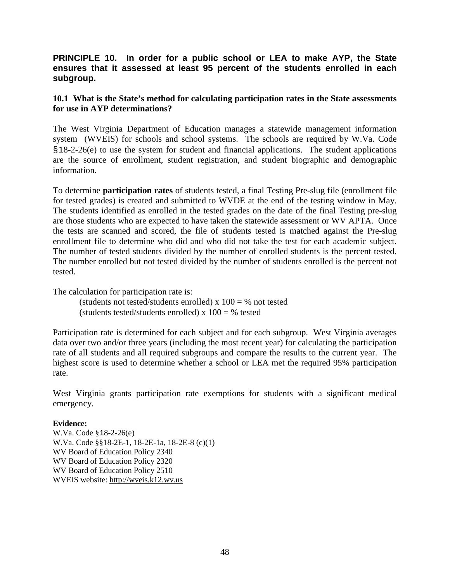#### **PRINCIPLE 10. In order for a public school or LEA to make AYP, the State ensures that it assessed at least 95 percent of the students enrolled in each subgroup.**

#### **10.1 What is the State's method for calculating participation rates in the State assessments for use in AYP determinations?**

The West Virginia Department of Education manages a statewide management information system (WVEIS) for schools and school systems. The schools are required by W.Va. Code §18-2-26(e) to use the system for student and financial applications. The student applications are the source of enrollment, student registration, and student biographic and demographic information.

To determine **participation rates** of students tested, a final Testing Pre-slug file (enrollment file for tested grades) is created and submitted to WVDE at the end of the testing window in May. The students identified as enrolled in the tested grades on the date of the final Testing pre-slug are those students who are expected to have taken the statewide assessment or WV APTA. Once the tests are scanned and scored, the file of students tested is matched against the Pre-slug enrollment file to determine who did and who did not take the test for each academic subject. The number of tested students divided by the number of enrolled students is the percent tested. The number enrolled but not tested divided by the number of students enrolled is the percent not tested.

The calculation for participation rate is:

(students not tested/students enrolled)  $x 100 = %$  not tested (students tested/students enrolled)  $x 100 = %$  tested

Participation rate is determined for each subject and for each subgroup. West Virginia averages data over two and/or three years (including the most recent year) for calculating the participation rate of all students and all required subgroups and compare the results to the current year. The highest score is used to determine whether a school or LEA met the required 95% participation rate.

West Virginia grants participation rate exemptions for students with a significant medical emergency.

#### **Evidence:**

W.Va. Code §18-2-26(e) W.Va. Code §§18-2E-1, 18-2E-1a, 18-2E-8 (c)(1) WV Board of Education Policy 2340 WV Board of Education Policy 2320 WV Board of Education Policy 2510 WVEIS website: [http://wveis.k12.wv.us](http://wveis.k12.wv.us/)